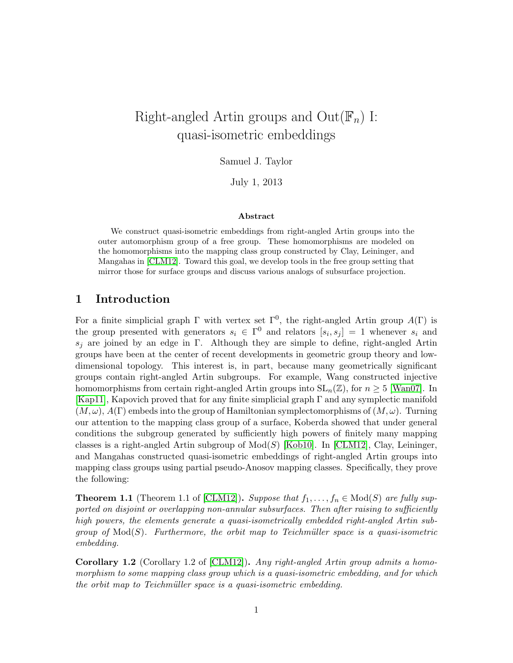# Right-angled Artin groups and  $Out(\mathbb{F}_n)$  I: quasi-isometric embeddings

Samuel J. Taylor

July 1, 2013

#### Abstract

We construct quasi-isometric embeddings from right-angled Artin groups into the outer automorphism group of a free group. These homomorphisms are modeled on the homomorphisms into the mapping class group constructed by Clay, Leininger, and Mangahas in [\[CLM12\]](#page-32-0). Toward this goal, we develop tools in the free group setting that mirror those for surface groups and discuss various analogs of subsurface projection.

# 1 Introduction

For a finite simplicial graph  $\Gamma$  with vertex set  $\Gamma^0$ , the right-angled Artin group  $A(\Gamma)$  is the group presented with generators  $s_i \in \Gamma^0$  and relators  $[s_i, s_j] = 1$  whenever  $s_i$  and  $s_i$  are joined by an edge in Γ. Although they are simple to define, right-angled Artin groups have been at the center of recent developments in geometric group theory and lowdimensional topology. This interest is, in part, because many geometrically significant groups contain right-angled Artin subgroups. For example, Wang constructed injective homomorphisms from certain right-angled Artin groups into  $SL_n(\mathbb{Z})$ , for  $n \geq 5$  [\[Wan07\]](#page-33-0). In [\[Kap11\]](#page-33-1), Kapovich proved that for any finite simplicial graph  $\Gamma$  and any symplectic manifold  $(M, \omega)$ ,  $A(\Gamma)$  embeds into the group of Hamiltonian symplectomorphisms of  $(M, \omega)$ . Turning our attention to the mapping class group of a surface, Koberda showed that under general conditions the subgroup generated by sufficiently high powers of finitely many mapping classes is a right-angled Artin subgroup of  $Mod(S)$  [\[Kob10\]](#page-33-2). In [\[CLM12\]](#page-32-0), Clay, Leininger, and Mangahas constructed quasi-isometric embeddings of right-angled Artin groups into mapping class groups using partial pseudo-Anosov mapping classes. Specifically, they prove the following:

<span id="page-0-0"></span>**Theorem 1.1** (Theorem 1.1 of [\[CLM12\]](#page-32-0)). Suppose that  $f_1, \ldots, f_n \in Mod(S)$  are fully supported on disjoint or overlapping non-annular subsurfaces. Then after raising to sufficiently high powers, the elements generate a quasi-isometrically embedded right-angled Artin subgroup of  $Mod(S)$ . Furthermore, the orbit map to Teichmüller space is a quasi-isometric embedding.

Corollary 1.2 (Corollary 1.2 of [\[CLM12\]](#page-32-0)). Any right-angled Artin group admits a homomorphism to some mapping class group which is a quasi-isometric embedding, and for which the orbit map to Teichmüller space is a quasi-isometric embedding.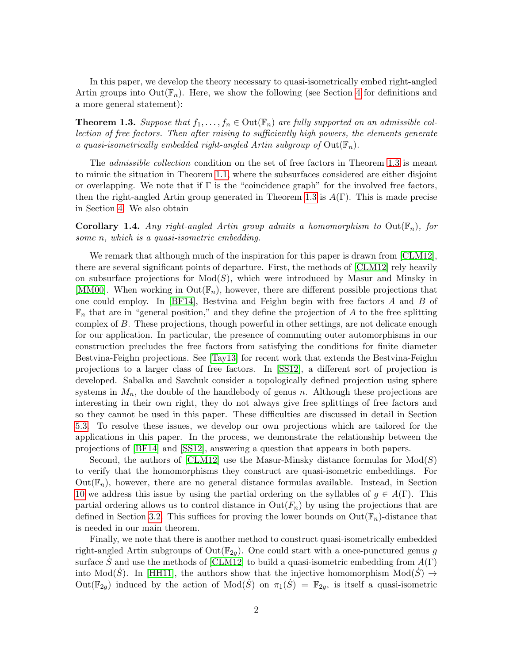In this paper, we develop the theory necessary to quasi-isometrically embed right-angled Artin groups into  $Out(\mathbb{F}_n)$ . Here, we show the following (see Section [4](#page-9-0) for definitions and a more general statement):

<span id="page-1-0"></span>**Theorem 1.3.** Suppose that  $f_1, \ldots, f_n \in \text{Out}(\mathbb{F}_n)$  are fully supported on an admissible collection of free factors. Then after raising to sufficiently high powers, the elements generate a quasi-isometrically embedded right-angled Artin subgroup of  $Out(\mathbb{F}_n)$ .

The *admissible collection* condition on the set of free factors in Theorem [1.3](#page-1-0) is meant to mimic the situation in Theorem [1.1,](#page-0-0) where the subsurfaces considered are either disjoint or overlapping. We note that if  $\Gamma$  is the "coincidence graph" for the involved free factors, then the right-angled Artin group generated in Theorem [1.3](#page-1-0) is  $A(\Gamma)$ . This is made precise in Section [4.](#page-9-0) We also obtain

**Corollary 1.4.** Any right-angled Artin group admits a homomorphism to  $Out(\mathbb{F}_n)$ , for some n, which is a quasi-isometric embedding.

We remark that although much of the inspiration for this paper is drawn from [\[CLM12\]](#page-32-0), there are several significant points of departure. First, the methods of [\[CLM12\]](#page-32-0) rely heavily on subsurface projections for  $Mod(S)$ , which were introduced by Masur and Minsky in [\[MM00\]](#page-33-3). When working in  $Out(\mathbb{F}_n)$ , however, there are different possible projections that one could employ. In [\[BF14\]](#page-32-1), Bestvina and Feighn begin with free factors A and B of  $\mathbb{F}_n$  that are in "general position," and they define the projection of A to the free splitting complex of B. These projections, though powerful in other settings, are not delicate enough for our application. In particular, the presence of commuting outer automorphisms in our construction precludes the free factors from satisfying the conditions for finite diameter Bestvina-Feighn projections. See [\[Tay13\]](#page-33-4) for recent work that extends the Bestvina-Feighn projections to a larger class of free factors. In [\[SS12\]](#page-33-5), a different sort of projection is developed. Sabalka and Savchuk consider a topologically defined projection using sphere systems in  $M_n$ , the double of the handlebody of genus n. Although these projections are interesting in their own right, they do not always give free splittings of free factors and so they cannot be used in this paper. These difficulties are discussed in detail in Section [5.3.](#page-18-0) To resolve these issues, we develop our own projections which are tailored for the applications in this paper. In the process, we demonstrate the relationship between the projections of [\[BF14\]](#page-32-1) and [\[SS12\]](#page-33-5), answering a question that appears in both papers.

Second, the authors of [\[CLM12\]](#page-32-0) use the Masur-Minsky distance formulas for  $Mod(S)$ to verify that the homomorphisms they construct are quasi-isometric embeddings. For  $Out(\mathbb{F}_n)$ , however, there are no general distance formulas available. Instead, in Section [10](#page-29-0) we address this issue by using the partial ordering on the syllables of  $g \in A(\Gamma)$ . This partial ordering allows us to control distance in  $Out(F_n)$  by using the projections that are defined in Section [3.2.](#page-7-0) This suffices for proving the lower bounds on  $Out(\mathbb{F}_n)$ -distance that is needed in our main theorem.

Finally, we note that there is another method to construct quasi-isometrically embedded right-angled Artin subgroups of  $Out(\mathbb{F}_{2q})$ . One could start with a once-punctured genus g surface S and use the methods of [\[CLM12\]](#page-32-0) to build a quasi-isometric embedding from  $A(\Gamma)$ into Mod( $\dot{S}$ ). In [\[HH11\]](#page-32-2), the authors show that the injective homomorphism Mod( $S$ )  $\rightarrow$ Out( $\mathbb{F}_{2g}$ ) induced by the action of Mod( $\dot{S}$ ) on  $\pi_1(\dot{S}) = \mathbb{F}_{2g}$ , is itself a quasi-isometric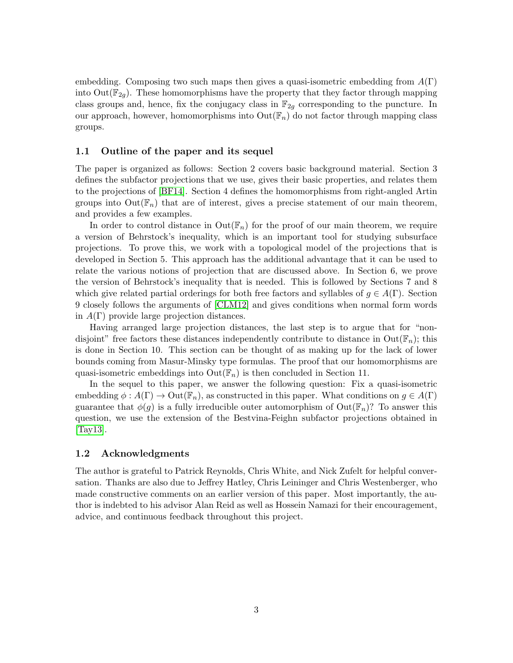embedding. Composing two such maps then gives a quasi-isometric embedding from  $A(\Gamma)$ into  $Out(\mathbb{F}_{2q})$ . These homomorphisms have the property that they factor through mapping class groups and, hence, fix the conjugacy class in  $\mathbb{F}_{2q}$  corresponding to the puncture. In our approach, however, homomorphisms into  $\text{Out}(\mathbb{F}_n)$  do not factor through mapping class groups.

#### 1.1 Outline of the paper and its sequel

The paper is organized as follows: Section 2 covers basic background material. Section 3 defines the subfactor projections that we use, gives their basic properties, and relates them to the projections of [\[BF14\]](#page-32-1). Section 4 defines the homomorphisms from right-angled Artin groups into  $Out(\mathbb{F}_n)$  that are of interest, gives a precise statement of our main theorem, and provides a few examples.

In order to control distance in  $Out(\mathbb{F}_n)$  for the proof of our main theorem, we require a version of Behrstock's inequality, which is an important tool for studying subsurface projections. To prove this, we work with a topological model of the projections that is developed in Section 5. This approach has the additional advantage that it can be used to relate the various notions of projection that are discussed above. In Section 6, we prove the version of Behrstock's inequality that is needed. This is followed by Sections 7 and 8 which give related partial orderings for both free factors and syllables of  $g \in A(\Gamma)$ . Section 9 closely follows the arguments of [\[CLM12\]](#page-32-0) and gives conditions when normal form words in  $A(\Gamma)$  provide large projection distances.

Having arranged large projection distances, the last step is to argue that for "nondisjoint" free factors these distances independently contribute to distance in  $Out(\mathbb{F}_n)$ ; this is done in Section 10. This section can be thought of as making up for the lack of lower bounds coming from Masur-Minsky type formulas. The proof that our homomorphisms are quasi-isometric embeddings into  $Out(\mathbb{F}_n)$  is then concluded in Section 11.

In the sequel to this paper, we answer the following question: Fix a quasi-isometric embedding  $\phi: A(\Gamma) \to \text{Out}(\mathbb{F}_n)$ , as constructed in this paper. What conditions on  $g \in A(\Gamma)$ guarantee that  $\phi(g)$  is a fully irreducible outer automorphism of  $Out(\mathbb{F}_n)$ ? To answer this question, we use the extension of the Bestvina-Feighn subfactor projections obtained in [\[Tay13\]](#page-33-4).

#### 1.2 Acknowledgments

The author is grateful to Patrick Reynolds, Chris White, and Nick Zufelt for helpful conversation. Thanks are also due to Jeffrey Hatley, Chris Leininger and Chris Westenberger, who made constructive comments on an earlier version of this paper. Most importantly, the author is indebted to his advisor Alan Reid as well as Hossein Namazi for their encouragement, advice, and continuous feedback throughout this project.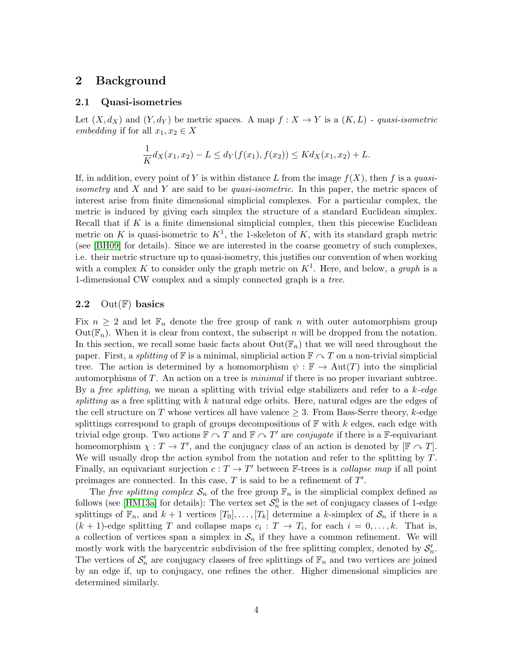## 2 Background

#### 2.1 Quasi-isometries

Let  $(X, d_X)$  and  $(Y, d_Y)$  be metric spaces. A map  $f : X \to Y$  is a  $(K, L)$  - quasi-isometric embedding if for all  $x_1, x_2 \in X$ 

$$
\frac{1}{K}d_X(x_1, x_2) - L \le d_Y(f(x_1), f(x_2)) \le K d_X(x_1, x_2) + L.
$$

If, in addition, every point of Y is within distance L from the image  $f(X)$ , then f is a quasi*isometry* and X and Y are said to be *quasi-isometric*. In this paper, the metric spaces of interest arise from finite dimensional simplicial complexes. For a particular complex, the metric is induced by giving each simplex the structure of a standard Euclidean simplex. Recall that if  $K$  is a finite dimensional simplicial complex, then this piecewise Euclidean metric on K is quasi-isometric to  $K^1$ , the 1-skeleton of K, with its standard graph metric (see [\[BH09\]](#page-32-3) for details). Since we are interested in the coarse geometry of such complexes, i.e. their metric structure up to quasi-isometry, this justifies our convention of when working with a complex K to consider only the graph metric on  $K^1$ . Here, and below, a graph is a 1-dimensional CW complex and a simply connected graph is a tree.

#### <span id="page-3-0"></span>2.2 Out $(\mathbb{F})$  basics

Fix  $n \geq 2$  and let  $\mathbb{F}_n$  denote the free group of rank n with outer automorphism group Out( $\mathbb{F}_n$ ). When it is clear from context, the subscript n will be dropped from the notation. In this section, we recall some basic facts about  $Out(\mathbb{F}_n)$  that we will need throughout the paper. First, a *splitting* of  $\mathbb F$  is a minimal, simplicial action  $\mathbb F \cap T$  on a non-trivial simplicial tree. The action is determined by a homomorphism  $\psi : \mathbb{F} \to Aut(T)$  into the simplicial automorphisms of T. An action on a tree is minimal if there is no proper invariant subtree. By a *free splitting*, we mean a splitting with trivial edge stabilizers and refer to a  $k$ -edge splitting as a free splitting with  $k$  natural edge orbits. Here, natural edges are the edges of the cell structure on T whose vertices all have valence  $\geq$  3. From Bass-Serre theory, k-edge splittings correspond to graph of groups decompositions of  $\mathbb{F}$  with k edges, each edge with trivial edge group. Two actions  $\mathbb{F} \curvearrowright T$  and  $\mathbb{F} \curvearrowright T'$  are *conjugate* if there is a F-equivariant homeomorphism  $\chi : T \to T'$ , and the conjugacy class of an action is denoted by  $[\mathbb{F} \cap T]$ . We will usually drop the action symbol from the notation and refer to the splitting by  $T$ . Finally, an equivariant surjection  $c: T \to T'$  between F-trees is a *collapse map* if all point preimages are connected. In this case,  $T$  is said to be a refinement of  $T'$ .

The free splitting complex  $\mathcal{S}_n$  of the free group  $\mathbb{F}_n$  is the simplicial complex defined as follows (see [\[HM13a\]](#page-33-6) for details): The vertex set  $\mathcal{S}_n^0$  is the set of conjugacy classes of 1-edge splittings of  $\mathbb{F}_n$ , and  $k+1$  vertices  $[T_0], \ldots, [T_k]$  determine a k-simplex of  $\mathcal{S}_n$  if there is a  $(k+1)$ -edge splitting T and collapse maps  $c_i : T \to T_i$ , for each  $i = 0, \ldots, k$ . That is, a collection of vertices span a simplex in  $S_n$  if they have a common refinement. We will mostly work with the barycentric subdivision of the free splitting complex, denoted by  $S'_n$ . The vertices of  $\mathcal{S}'_n$  are conjugacy classes of free splittings of  $\mathbb{F}_n$  and two vertices are joined by an edge if, up to conjugacy, one refines the other. Higher dimensional simplicies are determined similarly.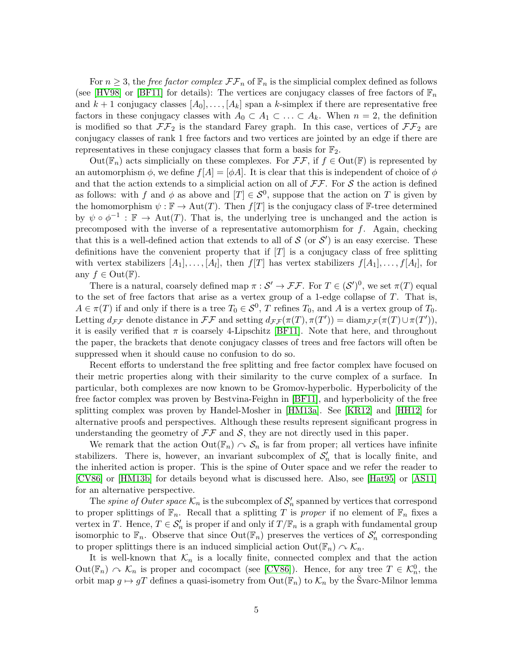For  $n \geq 3$ , the *free factor complex*  $\mathcal{F}\mathcal{F}_n$  of  $\mathbb{F}_n$  is the simplicial complex defined as follows (see [\[HV98\]](#page-33-7) or [\[BF11\]](#page-32-4) for details): The vertices are conjugacy classes of free factors of  $\mathbb{F}_n$ and  $k+1$  conjugacy classes  $[A_0], \ldots, [A_k]$  span a k-simplex if there are representative free factors in these conjugacy classes with  $A_0 \subset A_1 \subset \ldots \subset A_k$ . When  $n = 2$ , the definition is modified so that  $\mathcal{F}\mathcal{F}_2$  is the standard Farey graph. In this case, vertices of  $\mathcal{F}\mathcal{F}_2$  are conjugacy classes of rank 1 free factors and two vertices are jointed by an edge if there are representatives in these conjugacy classes that form a basis for  $\mathbb{F}_2$ .

 $Out(\mathbb{F}_n)$  acts simplicially on these complexes. For  $\mathcal{FF}$ , if  $f \in Out(\mathbb{F})$  is represented by an automorphism  $\phi$ , we define  $f[A] = [\phi A]$ . It is clear that this is independent of choice of  $\phi$ and that the action extends to a simplicial action on all of  $\mathcal{F}\mathcal{F}$ . For S the action is defined as follows: with f and  $\phi$  as above and  $[T] \in S^0$ , suppose that the action on T is given by the homomorphism  $\psi : \mathbb{F} \to \text{Aut}(T)$ . Then  $f[T]$  is the conjugacy class of  $\mathbb{F}$ -tree determined by  $\psi \circ \phi^{-1} : \mathbb{F} \to \text{Aut}(T)$ . That is, the underlying tree is unchanged and the action is precomposed with the inverse of a representative automorphism for  $f$ . Again, checking that this is a well-defined action that extends to all of  $S$  (or  $S'$ ) is an easy exercise. These definitions have the convenient property that if  $|T|$  is a conjugacy class of free splitting with vertex stabilizers  $[A_1], \ldots, [A_l]$ , then  $f[T]$  has vertex stabilizers  $f[A_1], \ldots, f[A_l]$ , for any  $f \in Out(\mathbb{F})$ .

There is a natural, coarsely defined map  $\pi : \mathcal{S}' \to \mathcal{FF}$ . For  $T \in (\mathcal{S}')^0$ , we set  $\pi(T)$  equal to the set of free factors that arise as a vertex group of a 1-edge collapse of  $T$ . That is,  $A \in \pi(T)$  if and only if there is a tree  $T_0 \in \mathcal{S}^0$ , T refines  $T_0$ , and A is a vertex group of  $T_0$ . Letting  $d_{\mathcal{F}\mathcal{F}}$  denote distance in  $\mathcal{F}\mathcal{F}$  and setting  $d_{\mathcal{F}\mathcal{F}}(\pi(T), \pi(T')) = \text{diam}_{\mathcal{F}\mathcal{F}}(\pi(T) \cup \pi(T'))$ , it is easily verified that  $\pi$  is coarsely 4-Lipschitz [\[BF11\]](#page-32-4). Note that here, and throughout the paper, the brackets that denote conjugacy classes of trees and free factors will often be suppressed when it should cause no confusion to do so.

Recent efforts to understand the free splitting and free factor complex have focused on their metric properties along with their similarity to the curve complex of a surface. In particular, both complexes are now known to be Gromov-hyperbolic. Hyperbolicity of the free factor complex was proven by Bestvina-Feighn in [\[BF11\]](#page-32-4), and hyperbolicity of the free splitting complex was proven by Handel-Mosher in [\[HM13a\]](#page-33-6). See [\[KR12\]](#page-33-8) and [\[HH12\]](#page-32-5) for alternative proofs and perspectives. Although these results represent significant progress in understanding the geometry of  $\mathcal{F}\mathcal{F}$  and  $\mathcal{S}$ , they are not directly used in this paper.

We remark that the action  $\text{Out}(\mathbb{F}_n) \cap \mathcal{S}_n$  is far from proper; all vertices have infinite stabilizers. There is, however, an invariant subcomplex of  $\mathcal{S}'_n$  that is locally finite, and the inherited action is proper. This is the spine of Outer space and we refer the reader to [\[CV86\]](#page-32-6) or [\[HM13b\]](#page-33-9) for details beyond what is discussed here. Also, see [\[Hat95\]](#page-32-7) or [\[AS11\]](#page-32-8) for an alternative perspective.

The *spine of Outer space*  $\mathcal{K}_n$  is the subcomplex of  $\mathcal{S}'_n$  spanned by vertices that correspond to proper splittings of  $\mathbb{F}_n$ . Recall that a splitting T is proper if no element of  $\mathbb{F}_n$  fixes a vertex in T. Hence,  $T \in \mathcal{S}'_n$  is proper if and only if  $T/\mathbb{F}_n$  is a graph with fundamental group isomorphic to  $\mathbb{F}_n$ . Observe that since  $\text{Out}(\mathbb{F}_n)$  preserves the vertices of  $\mathcal{S}'_n$  corresponding to proper splittings there is an induced simplicial action  $Out(\mathbb{F}_n) \cap \mathcal{K}_n$ .

It is well-known that  $\mathcal{K}_n$  is a locally finite, connected complex and that the action  $Out(\mathbb{F}_n) \curvearrowright \mathcal{K}_n$  is proper and cocompact (see [\[CV86\]](#page-32-6)). Hence, for any tree  $T \in \mathcal{K}_n^0$ , the orbit map  $g \mapsto gT$  defines a quasi-isometry from  $\text{Out}(\mathbb{F}_n)$  to  $\mathcal{K}_n$  by the Švarc-Milnor lemma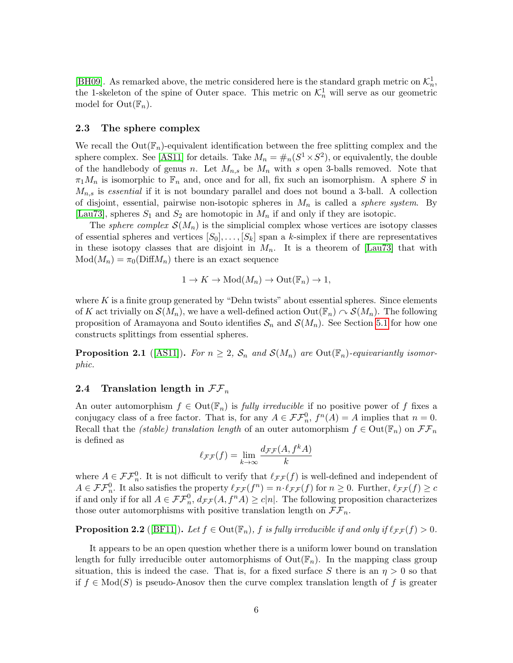[\[BH09\]](#page-32-3). As remarked above, the metric considered here is the standard graph metric on  $\mathcal{K}_n^1$ , the 1-skeleton of the spine of Outer space. This metric on  $\mathcal{K}_n^1$  will serve as our geometric model for  $Out(\mathbb{F}_n)$ .

#### <span id="page-5-1"></span>2.3 The sphere complex

We recall the  $Out(\mathbb{F}_n)$ -equivalent identification between the free splitting complex and the sphere complex. See [\[AS11\]](#page-32-8) for details. Take  $M_n = \#_n(S^1 \times S^2)$ , or equivalently, the double of the handlebody of genus n. Let  $M_{n,s}$  be  $M_n$  with s open 3-balls removed. Note that  $\pi_1M_n$  is isomorphic to  $\mathbb{F}_n$  and, once and for all, fix such an isomorphism. A sphere S in  $M_{n,s}$  is essential if it is not boundary parallel and does not bound a 3-ball. A collection of disjoint, essential, pairwise non-isotopic spheres in  $M_n$  is called a *sphere system*. By [\[Lau73\]](#page-33-10), spheres  $S_1$  and  $S_2$  are homotopic in  $M_n$  if and only if they are isotopic.

The *sphere complex*  $\mathcal{S}(M_n)$  is the simplicial complex whose vertices are isotopy classes of essential spheres and vertices  $[S_0], \ldots, [S_k]$  span a k-simplex if there are representatives in these isotopy classes that are disjoint in  $M_n$ . It is a theorem of [\[Lau73\]](#page-33-10) that with  $Mod(M_n) = \pi_0(DiffM_n)$  there is an exact sequence

$$
1 \to K \to \text{Mod}(M_n) \to \text{Out}(\mathbb{F}_n) \to 1,
$$

where K is a finite group generated by "Dehn twists" about essential spheres. Since elements of K act trivially on  $\mathcal{S}(M_n)$ , we have a well-defined action  $\mathrm{Out}(\mathbb{F}_n) \curvearrowright \mathcal{S}(M_n)$ . The following proposition of Aramayona and Souto identifies  $S_n$  and  $\mathcal{S}(M_n)$ . See Section [5.1](#page-14-0) for how one constructs splittings from essential spheres.

<span id="page-5-2"></span>**Proposition 2.1** ([\[AS11\]](#page-32-8)). For  $n \geq 2$ ,  $S_n$  and  $\mathcal{S}(M_n)$  are Out( $\mathbb{F}_n$ )-equivariantly isomorphic.

#### 2.4 Translation length in  $\mathcal{F}\mathcal{F}_n$

An outer automorphism  $f \in Out(\mathbb{F}_n)$  is fully irreducible if no positive power of f fixes a conjugacy class of a free factor. That is, for any  $A \in \mathcal{FF}_n^0$ ,  $f^n(A) = A$  implies that  $n = 0$ . Recall that the *(stable) translation length* of an outer automorphism  $f \in Out(\mathbb{F}_n)$  on  $\mathcal{FF}_n$ is defined as

$$
\ell_{\mathcal{F}\mathcal{F}}(f) = \lim_{k \to \infty} \frac{d_{\mathcal{F}\mathcal{F}}(A, f^k A)}{k}
$$

where  $A \in \mathcal{FF}_n^0$ . It is not difficult to verify that  $\ell_{\mathcal{FF}}(f)$  is well-defined and independent of  $A \in \mathcal{FF}_n^0$ . It also satisfies the property  $\ell_{\mathcal{FF}}(f^n) = n \cdot \ell_{\mathcal{FF}}(f)$  for  $n \geq 0$ . Further,  $\ell_{\mathcal{FF}}(f) \geq c$ if and only if for all  $A \in \mathcal{FF}_n^0$ ,  $d_{\mathcal{FF}}(A, f^nA) \ge c|n|$ . The following proposition characterizes those outer automorphisms with positive translation length on  $\mathcal{F}\mathcal{F}_n$ .

<span id="page-5-0"></span>**Proposition 2.2** ([\[BF11\]](#page-32-4)). Let  $f \in Out(\mathbb{F}_n)$ , f is fully irreducible if and only if  $\ell_{\mathcal{F}\mathcal{F}}(f) > 0$ .

It appears to be an open question whether there is a uniform lower bound on translation length for fully irreducible outer automorphisms of  $Out(\mathbb{F}_n)$ . In the mapping class group situation, this is indeed the case. That is, for a fixed surface S there is an  $\eta > 0$  so that if  $f \in Mod(S)$  is pseudo-Anosov then the curve complex translation length of f is greater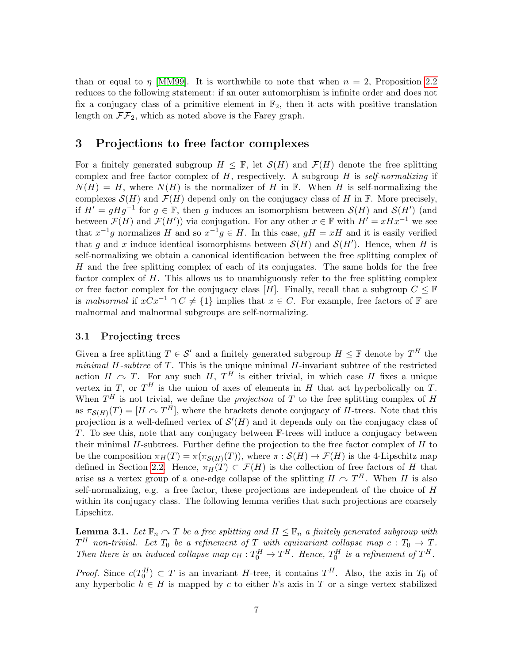than or equal to  $\eta$  [\[MM99\]](#page-33-11). It is worthwhile to note that when  $n = 2$ , Proposition [2.2](#page-5-0) reduces to the following statement: if an outer automorphism is infinite order and does not fix a conjugacy class of a primitive element in  $\mathbb{F}_2$ , then it acts with positive translation length on  $\mathcal{F}\mathcal{F}_2$ , which as noted above is the Farey graph.

## 3 Projections to free factor complexes

For a finitely generated subgroup  $H \leq \mathbb{F}$ , let  $\mathcal{S}(H)$  and  $\mathcal{F}(H)$  denote the free splitting complex and free factor complex of  $H$ , respectively. A subgroup  $H$  is self-normalizing if  $N(H) = H$ , where  $N(H)$  is the normalizer of H in F. When H is self-normalizing the complexes  $\mathcal{S}(H)$  and  $\mathcal{F}(H)$  depend only on the conjugacy class of H in F. More precisely, if  $H' = gHg^{-1}$  for  $g \in \mathbb{F}$ , then g induces an isomorphism between  $\mathcal{S}(H)$  and  $\mathcal{S}(H')$  (and between  $\mathcal{F}(H)$  and  $\mathcal{F}(H')$ ) via conjugation. For any other  $x \in \mathbb{F}$  with  $H' = xHx^{-1}$  we see that  $x^{-1}g$  normalizes H and so  $x^{-1}g \in H$ . In this case,  $gH = xH$  and it is easily verified that g and x induce identical isomorphisms between  $\mathcal{S}(H)$  and  $\mathcal{S}(H')$ . Hence, when H is self-normalizing we obtain a canonical identification between the free splitting complex of H and the free splitting complex of each of its conjugates. The same holds for the free factor complex of H. This allows us to unambiguously refer to the free splitting complex or free factor complex for the conjugacy class [H]. Finally, recall that a subgroup  $C \leq \mathbb{F}$ is malnormal if  $xCx^{-1} \cap C \neq \{1\}$  implies that  $x \in C$ . For example, free factors of F are malnormal and malnormal subgroups are self-normalizing.

#### 3.1 Projecting trees

Given a free splitting  $T \in \mathcal{S}'$  and a finitely generated subgroup  $H \leq \mathbb{F}$  denote by  $T^H$  the minimal  $H$ -subtree of  $T$ . This is the unique minimal  $H$ -invariant subtree of the restricted action  $H \sim T$ . For any such H,  $T^H$  is either trivial, in which case H fixes a unique vertex in T, or  $T^H$  is the union of axes of elements in H that act hyperbolically on T. When  $T^H$  is not trivial, we define the *projection* of T to the free splitting complex of H as  $\pi_{\mathcal{S}(H)}(T) = [H \cap T^H]$ , where the brackets denote conjugacy of H-trees. Note that this projection is a well-defined vertex of  $\mathcal{S}'(H)$  and it depends only on the conjugacy class of T. To see this, note that any conjugacy between  $\mathbb{F}$ -trees will induce a conjugacy between their minimal  $H$ -subtrees. Further define the projection to the free factor complex of  $H$  to be the composition  $\pi_H(T) = \pi(\pi_{\mathcal{S}(H)}(T))$ , where  $\pi : \mathcal{S}(H) \to \mathcal{F}(H)$  is the 4-Lipschitz map defined in Section [2.2.](#page-3-0) Hence,  $\pi_H(T) \subset \mathcal{F}(H)$  is the collection of free factors of H that arise as a vertex group of a one-edge collapse of the splitting  $H \cap T^H$ . When H is also self-normalizing, e.g. a free factor, these projections are independent of the choice of  $H$ within its conjugacy class. The following lemma verifies that such projections are coarsely Lipschitz.

<span id="page-6-0"></span>**Lemma 3.1.** Let  $\mathbb{F}_n \cap T$  be a free splitting and  $H \leq \mathbb{F}_n$  a finitely generated subgroup with  $T^H$  non-trivial. Let  $T_0$  be a refinement of  $T$  with equivariant collapse map  $c:T_0\rightarrow T$ . Then there is an induced collapse map  $c_H : T_0^H \to T^H$ . Hence,  $T_0^H$  is a refinement of  $T^H$ .

*Proof.* Since  $c(T_0^H) \subset T$  is an invariant H-tree, it contains  $T^H$ . Also, the axis in  $T_0$  of any hyperbolic  $h \in H$  is mapped by c to either h's axis in T or a singe vertex stabilized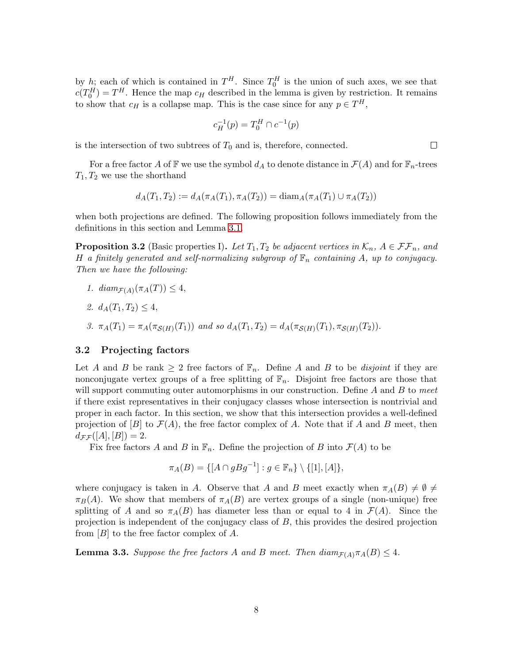by h; each of which is contained in  $T^H$ . Since  $T_0^H$  is the union of such axes, we see that  $c(T_0^H) = T^H$ . Hence the map  $c_H$  described in the lemma is given by restriction. It remains to show that  $c_H$  is a collapse map. This is the case since for any  $p \in T^H$ ,

$$
c_H^{-1}(p) = T_0^H \cap c^{-1}(p)
$$

is the intersection of two subtrees of  $T_0$  and is, therefore, connected.

For a free factor A of F we use the symbol  $d_A$  to denote distance in  $\mathcal{F}(A)$  and for  $\mathbb{F}_n$ -trees  $T_1, T_2$  we use the shorthand

$$
d_A(T_1, T_2) := d_A(\pi_A(T_1), \pi_A(T_2)) = \text{diam}_A(\pi_A(T_1) \cup \pi_A(T_2))
$$

when both projections are defined. The following proposition follows immediately from the definitions in this section and Lemma [3.1.](#page-6-0)

<span id="page-7-2"></span>**Proposition 3.2** (Basic properties I). Let  $T_1, T_2$  be adjacent vertices in  $\mathcal{K}_n$ ,  $A \in \mathcal{FF}_n$ , and H a finitely generated and self-normalizing subgroup of  $\mathbb{F}_n$  containing A, up to conjugacy. Then we have the following:

- 1.  $diam_{\mathcal{F}(A)}(\pi_A(T)) \leq 4$ ,
- 2.  $d_A(T_1, T_2) \leq 4$ ,
- 3.  $\pi_A(T_1) = \pi_A(\pi_{\mathcal{S}(H)}(T_1))$  and so  $d_A(T_1, T_2) = d_A(\pi_{\mathcal{S}(H)}(T_1), \pi_{\mathcal{S}(H)}(T_2)).$

#### <span id="page-7-0"></span>3.2 Projecting factors

Let A and B be rank  $\geq 2$  free factors of  $\mathbb{F}_n$ . Define A and B to be *disjoint* if they are nonconjugate vertex groups of a free splitting of  $\mathbb{F}_n$ . Disjoint free factors are those that will support commuting outer automorphisms in our construction. Define  $A$  and  $B$  to meet if there exist representatives in their conjugacy classes whose intersection is nontrivial and proper in each factor. In this section, we show that this intersection provides a well-defined projection of [B] to  $\mathcal{F}(A)$ , the free factor complex of A. Note that if A and B meet, then  $d_{\mathcal{F}\mathcal{F}}([A],[B])=2.$ 

Fix free factors A and B in  $\mathbb{F}_n$ . Define the projection of B into  $\mathcal{F}(A)$  to be

$$
\pi_A(B) = \{ [A \cap gBg^{-1}] : g \in \mathbb{F}_n \} \setminus \{ [1], [A] \},\
$$

where conjugacy is taken in A. Observe that A and B meet exactly when  $\pi_A(B) \neq \emptyset$ .  $\pi_B(A)$ . We show that members of  $\pi_A(B)$  are vertex groups of a single (non-unique) free splitting of A and so  $\pi_A(B)$  has diameter less than or equal to 4 in  $\mathcal{F}(A)$ . Since the projection is independent of the conjugacy class of B, this provides the desired projection from  $[B]$  to the free factor complex of A.

<span id="page-7-1"></span>**Lemma 3.3.** Suppose the free factors A and B meet. Then  $diam_{\mathcal{F}(A)} \pi_A(B) \leq 4$ .

 $\Box$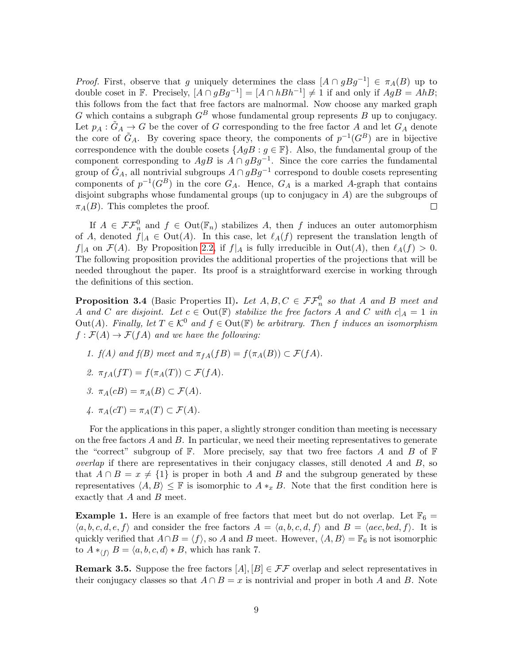*Proof.* First, observe that g uniquely determines the class  $[A \cap gBg^{-1}] \in \pi_A(B)$  up to double coset in **F**. Precisely,  $[A \cap gBg^{-1}] = [A \cap hBh^{-1}] \neq 1$  if and only if  $AgB = AhB$ ; this follows from the fact that free factors are malnormal. Now choose any marked graph G which contains a subgraph  $G^B$  whose fundamental group represents B up to conjugacy. Let  $p_A : \tilde{G}_A \to G$  be the cover of G corresponding to the free factor A and let  $G_A$  denote the core of  $\tilde{G}_A$ . By covering space theory, the components of  $p^{-1}(G^B)$  are in bijective correspondence with the double cosets  $\{AgB : g \in \mathbb{F}\}\$ . Also, the fundamental group of the component corresponding to  $AgB$  is  $A \cap gBg^{-1}$ . Since the core carries the fundamental group of  $\tilde{G}_A$ , all nontrivial subgroups  $A \cap gBg^{-1}$  correspond to double cosets representing components of  $p^{-1}(G^B)$  in the core  $G_A$ . Hence,  $G_A$  is a marked A-graph that contains disjoint subgraphs whose fundamental groups (up to conjugacy in  $A$ ) are the subgroups of  $\pi_A(B)$ . This completes the proof.  $\Box$ 

If  $A \in \mathcal{FF}_n^0$  and  $f \in Out(\mathbb{F}_n)$  stabilizes A, then f induces an outer automorphism of A, denoted  $f|_A \in Out(A)$ . In this case, let  $\ell_A(f)$  represent the translation length of  $f|_A$  on  $\mathcal{F}(A)$ . By Proposition [2.2,](#page-5-0) if  $f|_A$  is fully irreducible in Out(A), then  $\ell_A(f) > 0$ . The following proposition provides the additional properties of the projections that will be needed throughout the paper. Its proof is a straightforward exercise in working through the definitions of this section.

<span id="page-8-0"></span>**Proposition 3.4** (Basic Properties II). Let  $A, B, C \in \mathcal{FF}_n^0$  so that A and B meet and A and C are disjoint. Let  $c \in Out(\mathbb{F})$  stabilize the free factors A and C with  $c|_A = 1$  in Out(A). Finally, let  $T \in \mathcal{K}^0$  and  $f \in \text{Out}(\mathbb{F})$  be arbitrary. Then f induces an isomorphism  $f : \mathcal{F}(A) \to \mathcal{F}(fA)$  and we have the following:

- 1.  $f(A)$  and  $f(B)$  meet and  $\pi_{fA}(fB) = f(\pi_A(B)) \subset \mathcal{F}(fA)$ .
- 2.  $\pi_{fA}(fT) = f(\pi_A(T)) \subset \mathcal{F}(fA)$ .
- 3.  $\pi_A(cB) = \pi_A(B) \subset \mathcal{F}(A)$ .
- 4.  $\pi_A(cT) = \pi_A(T) \subset \mathcal{F}(A)$ .

For the applications in this paper, a slightly stronger condition than meeting is necessary on the free factors A and B. In particular, we need their meeting representatives to generate the "correct" subgroup of  $\mathbb F$ . More precisely, say that two free factors A and B of  $\mathbb F$ *overlap* if there are representatives in their conjugacy classes, still denoted  $A$  and  $B$ , so that  $A \cap B = x \neq \{1\}$  is proper in both A and B and the subgroup generated by these representatives  $\langle A, B \rangle \leq \mathbb{F}$  is isomorphic to  $A *_x B$ . Note that the first condition here is exactly that A and B meet.

**Example 1.** Here is an example of free factors that meet but do not overlap. Let  $\mathbb{F}_6 =$  $\langle a, b, c, d, e, f \rangle$  and consider the free factors  $A = \langle a, b, c, d, f \rangle$  and  $B = \langle ace, bed, f \rangle$ . It is quickly verified that  $A \cap B = \langle f \rangle$ , so A and B meet. However,  $\langle A, B \rangle = \mathbb{F}_6$  is not isomorphic to  $A *_{\langle f \rangle} B = \langle a, b, c, d \rangle * B$ , which has rank 7.

**Remark 3.5.** Suppose the free factors  $[A], [B] \in \mathcal{FF}$  overlap and select representatives in their conjugacy classes so that  $A \cap B = x$  is nontrivial and proper in both A and B. Note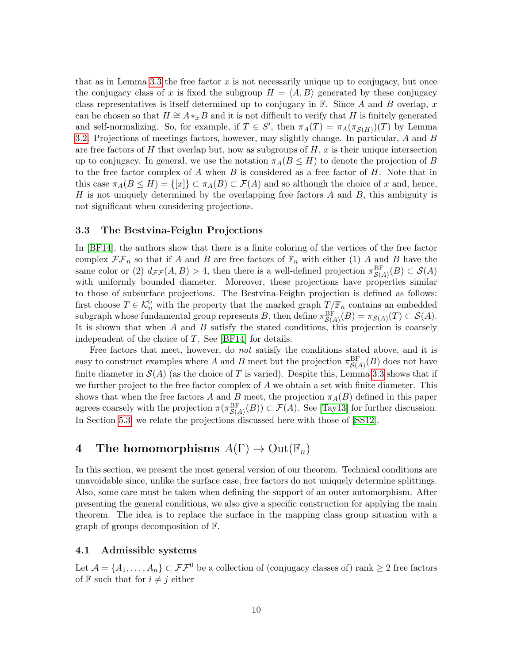that as in Lemma [3.3](#page-7-1) the free factor  $x$  is not necessarily unique up to conjugacy, but once the conjugacy class of x is fixed the subgroup  $H = \langle A, B \rangle$  generated by these conjugacy class representatives is itself determined up to conjugacy in  $\mathbb{F}$ . Since A and B overlap, x can be chosen so that  $H \cong A *_{x} B$  and it is not difficult to verify that H is finitely generated and self-normalizing. So, for example, if  $T \in S'$ , then  $\pi_A(T) = \pi_A(\pi_{S(H)})(T)$  by Lemma [3.2.](#page-7-2) Projections of meetings factors, however, may slightly change. In particular, A and B are free factors of H that overlap but, now as subgroups of  $H, x$  is their unique intersection up to conjugacy. In general, we use the notation  $\pi_A(B \le H)$  to denote the projection of B to the free factor complex of A when B is considered as a free factor of  $H$ . Note that in this case  $\pi_A(B \le H) = \{[x]\}\subset \pi_A(B) \subset \mathcal{F}(A)$  and so although the choice of x and, hence, H is not uniquely determined by the overlapping free factors  $A$  and  $B$ , this ambiguity is not significant when considering projections.

#### 3.3 The Bestvina-Feighn Projections

In [\[BF14\]](#page-32-1), the authors show that there is a finite coloring of the vertices of the free factor complex  $\mathcal{F}\mathcal{F}_n$  so that if A and B are free factors of  $\mathbb{F}_n$  with either (1) A and B have the same color or (2)  $d_{\mathcal{FF}}(A, B) > 4$ , then there is a well-defined projection  $\pi_{\mathcal{S}(A)}^{\text{BF}}(B) \subset \mathcal{S}(A)$ with uniformly bounded diameter. Moreover, these projections have properties similar to those of subsurface projections. The Bestvina-Feighn projection is defined as follows: first choose  $T \in \mathcal{K}_n^0$  with the property that the marked graph  $T/\mathbb{F}_n$  contains an embedded subgraph whose fundamental group represents B, then define  $\pi_{\mathcal{S}(A)}^{\text{BF}}(B) = \pi_{\mathcal{S}(A)}(T) \subset \mathcal{S}(A)$ . It is shown that when  $A$  and  $B$  satisfy the stated conditions, this projection is coarsely independent of the choice of  $T$ . See [\[BF14\]](#page-32-1) for details.

Free factors that meet, however, do *not* satisfy the conditions stated above, and it is easy to construct examples where A and B meet but the projection  $\pi_{\mathcal{S}(A)}^{\text{BF}}(B)$  does not have finite diameter in  $\mathcal{S}(A)$  (as the choice of T is varied). Despite this, Lemma [3.3](#page-7-1) shows that if we further project to the free factor complex of  $A$  we obtain a set with finite diameter. This shows that when the free factors A and B meet, the projection  $\pi_A(B)$  defined in this paper agrees coarsely with the projection  $\pi(\pi_{\mathcal{S}(A)}^{\text{BF}}(B)) \subset \mathcal{F}(A)$ . See [\[Tay13\]](#page-33-4) for further discussion. In Section [5.3,](#page-18-0) we relate the projections discussed here with those of [\[SS12\]](#page-33-5).

# <span id="page-9-0"></span>4 The homomorphisms  $A(\Gamma) \to \mathrm{Out}(\mathbb{F}_n)$

In this section, we present the most general version of our theorem. Technical conditions are unavoidable since, unlike the surface case, free factors do not uniquely determine splittings. Also, some care must be taken when defining the support of an outer automorphism. After presenting the general conditions, we also give a specific construction for applying the main theorem. The idea is to replace the surface in the mapping class group situation with a graph of groups decomposition of F.

#### 4.1 Admissible systems

Let  $\mathcal{A} = \{A_1, \ldots, A_n\} \subset \mathcal{FF}^0$  be a collection of (conjugacy classes of) rank  $\geq 2$  free factors of  $\mathbb F$  such that for  $i \neq j$  either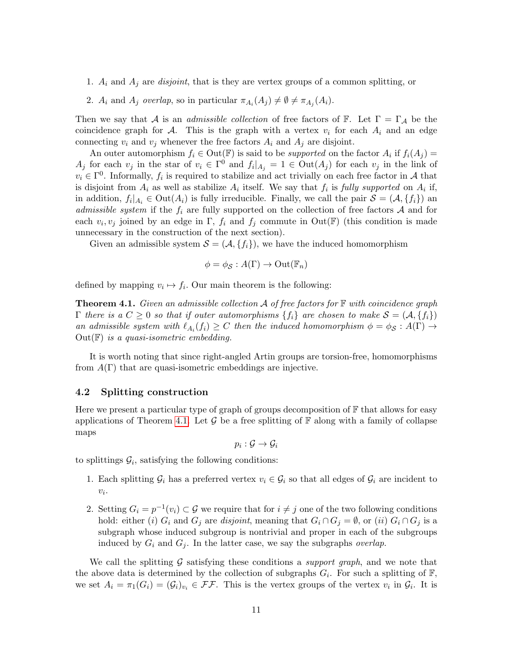- 1.  $A_i$  and  $A_j$  are *disjoint*, that is they are vertex groups of a common splitting, or
- 2.  $A_i$  and  $A_j$  overlap, so in particular  $\pi_{A_i}(A_j) \neq \emptyset \neq \pi_{A_j}(A_i)$ .

Then we say that A is an *admissible collection* of free factors of  $\mathbb{F}$ . Let  $\Gamma = \Gamma_A$  be the coincidence graph for  $\mathcal{A}$ . This is the graph with a vertex  $v_i$  for each  $A_i$  and an edge connecting  $v_i$  and  $v_j$  whenever the free factors  $A_i$  and  $A_j$  are disjoint.

An outer automorphism  $f_i \in \text{Out}(\mathbb{F})$  is said to be *supported* on the factor  $A_i$  if  $f_i(A_j) =$  $A_j$  for each  $v_j$  in the star of  $v_i \in \Gamma^0$  and  $f_i|_{A_j} = 1 \in \text{Out}(A_j)$  for each  $v_j$  in the link of  $v_i \in \Gamma^0$ . Informally,  $f_i$  is required to stabilize and act trivially on each free factor in A that is disjoint from  $A_i$  as well as stabilize  $A_i$  itself. We say that  $f_i$  is fully supported on  $A_i$  if, in addition,  $f_i|_{A_i} \in \text{Out}(A_i)$  is fully irreducible. Finally, we call the pair  $\mathcal{S} = (\mathcal{A}, \{f_i\})$  and *admissible system* if the  $f_i$  are fully supported on the collection of free factors  $A$  and for each  $v_i, v_j$  joined by an edge in  $\Gamma$ ,  $f_i$  and  $f_j$  commute in Out( $\mathbb{F}$ ) (this condition is made unnecessary in the construction of the next section).

Given an admissible system  $S = (A, \{f_i\})$ , we have the induced homomorphism

$$
\phi = \phi_{\mathcal{S}} : A(\Gamma) \to \mathrm{Out}(\mathbb{F}_n)
$$

<span id="page-10-0"></span>defined by mapping  $v_i \mapsto f_i$ . Our main theorem is the following:

**Theorem 4.1.** Given an admissible collection  $A$  of free factors for  $\mathbb F$  with coincidence graph  $\Gamma$  there is a  $C \geq 0$  so that if outer automorphisms  $\{f_i\}$  are chosen to make  $\mathcal{S} = (\mathcal{A}, \{f_i\})$ an admissible system with  $\ell_{A_i}(f_i) \geq C$  then the induced homomorphism  $\phi = \phi_{\mathcal{S}} : A(\Gamma) \to$  $Out(F)$  is a quasi-isometric embedding.

It is worth noting that since right-angled Artin groups are torsion-free, homomorphisms from  $A(\Gamma)$  that are quasi-isometric embeddings are injective.

#### <span id="page-10-1"></span>4.2 Splitting construction

Here we present a particular type of graph of groups decomposition of  $\mathbb F$  that allows for easy applications of Theorem [4.1.](#page-10-0) Let  $\mathcal G$  be a free splitting of  $\mathbb F$  along with a family of collapse maps

$$
p_i: \mathcal{G} \rightarrow \mathcal{G}_i
$$

to splittings  $\mathcal{G}_i$ , satisfying the following conditions:

- 1. Each splitting  $\mathcal{G}_i$  has a preferred vertex  $v_i \in \mathcal{G}_i$  so that all edges of  $\mathcal{G}_i$  are incident to  $v_i$ .
- 2. Setting  $G_i = p^{-1}(v_i) \subset \mathcal{G}$  we require that for  $i \neq j$  one of the two following conditions hold: either (i)  $G_i$  and  $G_j$  are disjoint, meaning that  $G_i \cap G_j = \emptyset$ , or (ii)  $G_i \cap G_j$  is a subgraph whose induced subgroup is nontrivial and proper in each of the subgroups induced by  $G_i$  and  $G_j$ . In the latter case, we say the subgraphs *overlap*.

We call the splitting  $G$  satisfying these conditions a *support graph*, and we note that the above data is determined by the collection of subgraphs  $G_i$ . For such a splitting of  $\mathbb{F}$ , we set  $A_i = \pi_1(G_i) = (\mathcal{G}_i)_{v_i} \in \mathcal{FF}$ . This is the vertex groups of the vertex  $v_i$  in  $\mathcal{G}_i$ . It is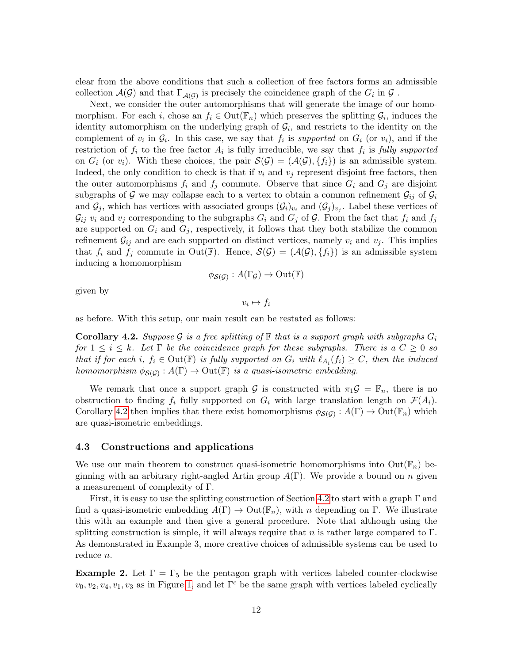clear from the above conditions that such a collection of free factors forms an admissible collection  $\mathcal{A}(\mathcal{G})$  and that  $\Gamma_{\mathcal{A}(\mathcal{G})}$  is precisely the coincidence graph of the  $G_i$  in  $\mathcal{G}$ .

Next, we consider the outer automorphisms that will generate the image of our homomorphism. For each i, chose an  $f_i \in Out(\mathbb{F}_n)$  which preserves the splitting  $\mathcal{G}_i$ , induces the identity automorphism on the underlying graph of  $\mathcal{G}_i$ , and restricts to the identity on the complement of  $v_i$  in  $\mathcal{G}_i$ . In this case, we say that  $f_i$  is supported on  $G_i$  (or  $v_i$ ), and if the restriction of  $f_i$  to the free factor  $A_i$  is fully irreducible, we say that  $f_i$  is fully supported on  $G_i$  (or  $v_i$ ). With these choices, the pair  $\mathcal{S}(\mathcal{G}) = (\mathcal{A}(\mathcal{G}), \{f_i\})$  is an admissible system. Indeed, the only condition to check is that if  $v_i$  and  $v_j$  represent disjoint free factors, then the outer automorphisms  $f_i$  and  $f_j$  commute. Observe that since  $G_i$  and  $G_j$  are disjoint subgraphs of G we may collapse each to a vertex to obtain a common refinement  $\mathcal{G}_{ij}$  of  $\mathcal{G}_i$ and  $\mathcal{G}_j$ , which has vertices with associated groups  $(\mathcal{G}_i)_{v_i}$  and  $(\mathcal{G}_j)_{v_j}$ . Label these vertices of  $\mathcal{G}_{ij}$   $v_i$  and  $v_j$  corresponding to the subgraphs  $G_i$  and  $G_j$  of  $\mathcal{G}$ . From the fact that  $f_i$  and  $f_j$ are supported on  $G_i$  and  $G_j$ , respectively, it follows that they both stabilize the common refinement  $\mathcal{G}_{ij}$  and are each supported on distinct vertices, namely  $v_i$  and  $v_j$ . This implies that  $f_i$  and  $f_j$  commute in Out(F). Hence,  $\mathcal{S}(\mathcal{G}) = (\mathcal{A}(\mathcal{G}), \{f_i\})$  is an admissible system inducing a homomorphism

$$
\phi_{\mathcal{S}(\mathcal{G})}:A(\Gamma_{\mathcal{G}})\to\mathrm{Out}(\mathbb{F})
$$

given by

$$
v_i \mapsto f_i
$$

<span id="page-11-0"></span>as before. With this setup, our main result can be restated as follows:

**Corollary 4.2.** Suppose G is a free splitting of  $\mathbb{F}$  that is a support graph with subgraphs  $G_i$ for  $1 \leq i \leq k$ . Let  $\Gamma$  be the coincidence graph for these subgraphs. There is a  $C \geq 0$  so that if for each i,  $f_i \in Out(\mathbb{F})$  is fully supported on  $G_i$  with  $\ell_{A_i}(f_i) \geq C$ , then the induced homomorphism  $\phi_{\mathcal{S}(\mathcal{G})}: A(\Gamma) \to \mathrm{Out}(\mathbb{F})$  is a quasi-isometric embedding.

We remark that once a support graph G is constructed with  $\pi_1 \mathcal{G} = \mathbb{F}_n$ , there is no obstruction to finding  $f_i$  fully supported on  $G_i$  with large translation length on  $\mathcal{F}(A_i)$ . Corollary [4.2](#page-11-0) then implies that there exist homomorphisms  $\phi_{\mathcal{S}(\mathcal{G})}: A(\Gamma) \to \mathrm{Out}(\mathbb{F}_n)$  which are quasi-isometric embeddings.

#### 4.3 Constructions and applications

We use our main theorem to construct quasi-isometric homomorphisms into  $Out(\mathbb{F}_n)$  beginning with an arbitrary right-angled Artin group  $A(\Gamma)$ . We provide a bound on n given a measurement of complexity of Γ.

First, it is easy to use the splitting construction of Section [4.2](#page-10-1) to start with a graph  $\Gamma$  and find a quasi-isometric embedding  $A(\Gamma) \to \text{Out}(\mathbb{F}_n)$ , with n depending on Γ. We illustrate this with an example and then give a general procedure. Note that although using the splitting construction is simple, it will always require that n is rather large compared to  $\Gamma$ . As demonstrated in Example 3, more creative choices of admissible systems can be used to reduce *n*.

**Example 2.** Let  $\Gamma = \Gamma_5$  be the pentagon graph with vertices labeled counter-clockwise  $v_0, v_2, v_4, v_1, v_3$  as in Figure [1,](#page-13-0) and let  $\Gamma^c$  be the same graph with vertices labeled cyclically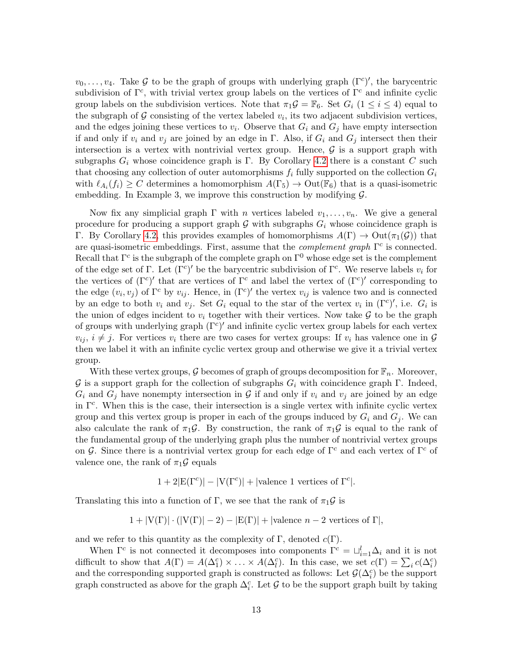$v_0, \ldots, v_4$ . Take G to be the graph of groups with underlying graph  $(\Gamma^c)'$ , the barycentric subdivision of  $\Gamma^c$ , with trivial vertex group labels on the vertices of  $\Gamma^c$  and infinite cyclic group labels on the subdivision vertices. Note that  $\pi_1 \mathcal{G} = \mathbb{F}_6$ . Set  $G_i$  ( $1 \leq i \leq 4$ ) equal to the subgraph of  $G$  consisting of the vertex labeled  $v_i$ , its two adjacent subdivision vertices, and the edges joining these vertices to  $v_i$ . Observe that  $G_i$  and  $G_j$  have empty intersection if and only if  $v_i$  and  $v_j$  are joined by an edge in Γ. Also, if  $G_i$  and  $G_j$  intersect then their intersection is a vertex with nontrivial vertex group. Hence,  $\mathcal G$  is a support graph with subgraphs  $G_i$  whose coincidence graph is Γ. By Corollary [4.2](#page-11-0) there is a constant C such that choosing any collection of outer automorphisms  $f_i$  fully supported on the collection  $G_i$ with  $\ell_{A_i}(f_i) \geq C$  determines a homomorphism  $A(\Gamma_5) \to \text{Out}(\mathbb{F}_6)$  that is a quasi-isometric embedding. In Example 3, we improve this construction by modifying  $\mathcal{G}$ .

Now fix any simplicial graph  $\Gamma$  with n vertices labeled  $v_1, \ldots, v_n$ . We give a general procedure for producing a support graph G with subgraphs  $G_i$  whose coincidence graph is Γ. By Corollary [4.2,](#page-11-0) this provides examples of homomorphisms  $A(Γ) → Out(π_1(G))$  that are quasi-isometric embeddings. First, assume that the *complement graph*  $\Gamma^c$  is connected. Recall that  $\Gamma^c$  is the subgraph of the complete graph on  $\Gamma^0$  whose edge set is the complement of the edge set of Γ. Let  $(\Gamma^c)'$  be the barycentric subdivision of  $\Gamma^c$ . We reserve labels  $v_i$  for the vertices of  $(\Gamma^c)'$  that are vertices of  $\Gamma^c$  and label the vertex of  $(\Gamma^c)'$  corresponding to the edge  $(v_i, v_j)$  of  $\Gamma^c$  by  $v_{ij}$ . Hence, in  $(\Gamma^c)'$  the vertex  $v_{ij}$  is valence two and is connected by an edge to both  $v_i$  and  $v_j$ . Set  $G_i$  equal to the star of the vertex  $v_i$  in  $(\Gamma^c)'$ , i.e.  $G_i$  is the union of edges incident to  $v_i$  together with their vertices. Now take  $\mathcal G$  to be the graph of groups with underlying graph  $(\Gamma^c)'$  and infinite cyclic vertex group labels for each vertex  $v_{ij}, i \neq j$ . For vertices  $v_i$  there are two cases for vertex groups: If  $v_i$  has valence one in G then we label it with an infinite cyclic vertex group and otherwise we give it a trivial vertex group.

With these vertex groups,  $G$  becomes of graph of groups decomposition for  $\mathbb{F}_n$ . Moreover, G is a support graph for the collection of subgraphs  $G_i$  with coincidence graph Γ. Indeed,  $G_i$  and  $G_j$  have nonempty intersection in G if and only if  $v_i$  and  $v_j$  are joined by an edge in  $\Gamma^c$ . When this is the case, their intersection is a single vertex with infinite cyclic vertex group and this vertex group is proper in each of the groups induced by  $G_i$  and  $G_j$ . We can also calculate the rank of  $\pi_1 \mathcal{G}$ . By construction, the rank of  $\pi_1 \mathcal{G}$  is equal to the rank of the fundamental group of the underlying graph plus the number of nontrivial vertex groups on G. Since there is a nontrivial vertex group for each edge of  $\Gamma^c$  and each vertex of  $\Gamma^c$  of valence one, the rank of  $\pi_1 \mathcal{G}$  equals

 $1 + 2|E(\Gamma^c)| - |V(\Gamma^c)| + |\text{valence 1 vertices of } \Gamma^c|.$ 

Translating this into a function of Γ, we see that the rank of  $\pi_1\mathcal{G}$  is

$$
1 + |V(\Gamma)| \cdot (|V(\Gamma)| - 2) - |E(\Gamma)| + |valence n - 2 vertices of \Gamma|,
$$

and we refer to this quantity as the complexity of  $\Gamma$ , denoted  $c(\Gamma)$ .

When  $\Gamma^c$  is not connected it decomposes into components  $\Gamma^c = \sqcup_{i=1}^l \Delta_i$  and it is not difficult to show that  $A(\Gamma) = A(\Delta_1^c) \times ... \times A(\Delta_l^c)$ . In this case, we set  $c(\Gamma) = \sum_i c(\Delta_i^c)$ and the corresponding supported graph is constructed as follows: Let  $\mathcal{G}(\Delta_i^c)$  be the support graph constructed as above for the graph  $\Delta_i^c$ . Let G to be the support graph built by taking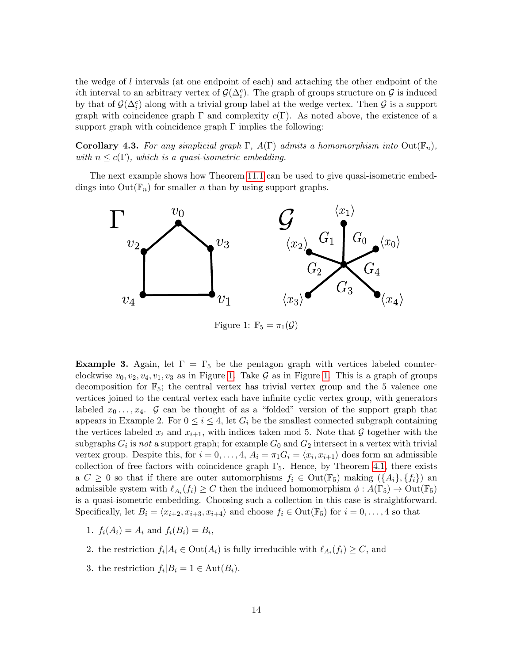the wedge of l intervals (at one endpoint of each) and attaching the other endpoint of the ith interval to an arbitrary vertex of  $\mathcal{G}(\Delta_i^c)$ . The graph of groups structure on  $\mathcal G$  is induced by that of  $\mathcal{G}(\Delta_i^c)$  along with a trivial group label at the wedge vertex. Then  $\mathcal G$  is a support graph with coincidence graph  $\Gamma$  and complexity  $c(\Gamma)$ . As noted above, the existence of a support graph with coincidence graph  $\Gamma$  implies the following:

**Corollary 4.3.** For any simplicial graph  $\Gamma$ ,  $A(\Gamma)$  admits a homomorphism into  $Out(\mathbb{F}_n)$ , with  $n \leq c(\Gamma)$ , which is a quasi-isometric embedding.

The next example shows how Theorem [11.1](#page-31-0) can be used to give quasi-isometric embeddings into  $Out(\mathbb{F}_n)$  for smaller *n* than by using support graphs.



<span id="page-13-0"></span>Figure 1:  $\mathbb{F}_5 = \pi_1(\mathcal{G})$ 

**Example 3.** Again, let  $\Gamma = \Gamma_5$  be the pentagon graph with vertices labeled counterclockwise  $v_0, v_2, v_4, v_1, v_3$  as in Figure [1.](#page-13-0) Take G as in Figure 1. This is a graph of groups decomposition for  $\mathbb{F}_5$ ; the central vertex has trivial vertex group and the 5 valence one vertices joined to the central vertex each have infinite cyclic vertex group, with generators labeled  $x_0 \ldots, x_4$ . G can be thought of as a "folded" version of the support graph that appears in Example 2. For  $0 \leq i \leq 4$ , let  $G_i$  be the smallest connected subgraph containing the vertices labeled  $x_i$  and  $x_{i+1}$ , with indices taken mod 5. Note that G together with the subgraphs  $G_i$  is not a support graph; for example  $G_0$  and  $G_2$  intersect in a vertex with trivial vertex group. Despite this, for  $i = 0, \ldots, 4$ ,  $A_i = \pi_1 G_i = \langle x_i, x_{i+1} \rangle$  does form an admissible collection of free factors with coincidence graph  $\Gamma_5$ . Hence, by Theorem [4.1,](#page-10-0) there exists a  $C \geq 0$  so that if there are outer automorphisms  $f_i \in \text{Out}(\mathbb{F}_5)$  making  $(\{A_i\}, \{f_i\})$  an admissible system with  $\ell_{A_i}(f_i) \geq C$  then the induced homomorphism  $\phi: A(\Gamma_5) \to \text{Out}(\mathbb{F}_5)$ is a quasi-isometric embedding. Choosing such a collection in this case is straightforward. Specifically, let  $B_i = \langle x_{i+2}, x_{i+3}, x_{i+4} \rangle$  and choose  $f_i \in \text{Out}(\mathbb{F}_5)$  for  $i = 0, ..., 4$  so that

- 1.  $f_i(A_i) = A_i$  and  $f_i(B_i) = B_i$ ,
- 2. the restriction  $f_i | A_i \in \text{Out}(A_i)$  is fully irreducible with  $\ell_{A_i}(f_i) \geq C$ , and
- 3. the restriction  $f_i|B_i = 1 \in \text{Aut}(B_i)$ .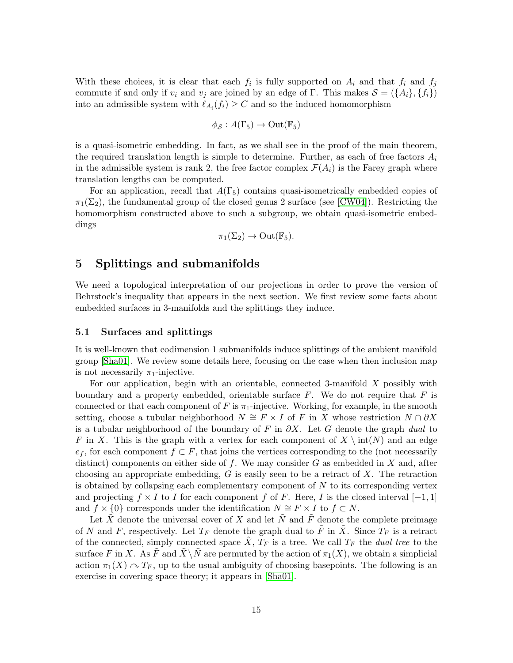With these choices, it is clear that each  $f_i$  is fully supported on  $A_i$  and that  $f_i$  and  $f_j$ commute if and only if  $v_i$  and  $v_j$  are joined by an edge of Γ. This makes  $\mathcal{S} = (\{A_i\}, \{f_i\})$ into an admissible system with  $\ell_{A_i}(f_i) \geq C$  and so the induced homomorphism

$$
\phi_{\mathcal{S}}:A(\Gamma_5)\to\mathrm{Out}(\mathbb{F}_5)
$$

is a quasi-isometric embedding. In fact, as we shall see in the proof of the main theorem, the required translation length is simple to determine. Further, as each of free factors  $A_i$ in the admissible system is rank 2, the free factor complex  $\mathcal{F}(A_i)$  is the Farey graph where translation lengths can be computed.

For an application, recall that  $A(\Gamma_5)$  contains quasi-isometrically embedded copies of  $\pi_1(\Sigma_2)$ , the fundamental group of the closed genus 2 surface (see [\[CW04\]](#page-32-9)). Restricting the homomorphism constructed above to such a subgroup, we obtain quasi-isometric embeddings

$$
\pi_1(\Sigma_2) \to \mathrm{Out}(\mathbb{F}_5).
$$

# 5 Splittings and submanifolds

We need a topological interpretation of our projections in order to prove the version of Behrstock's inequality that appears in the next section. We first review some facts about embedded surfaces in 3-manifolds and the splittings they induce.

#### <span id="page-14-0"></span>5.1 Surfaces and splittings

It is well-known that codimension 1 submanifolds induce splittings of the ambient manifold group [\[Sha01\]](#page-33-12). We review some details here, focusing on the case when then inclusion map is not necessarily  $\pi_1$ -injective.

For our application, begin with an orientable, connected 3-manifold X possibly with boundary and a property embedded, orientable surface  $F$ . We do not require that  $F$  is connected or that each component of F is  $\pi_1$ -injective. Working, for example, in the smooth setting, choose a tubular neighborhood  $N \cong F \times I$  of F in X whose restriction  $N \cap \partial X$ is a tubular neighborhood of the boundary of F in  $\partial X$ . Let G denote the graph dual to F in X. This is the graph with a vertex for each component of  $X \setminus \text{int}(N)$  and an edge  $e_f$ , for each component  $f \subset F$ , that joins the vertices corresponding to the (not necessarily distinct) components on either side of f. We may consider G as embedded in X and, after choosing an appropriate embedding,  $G$  is easily seen to be a retract of  $X$ . The retraction is obtained by collapsing each complementary component of  $N$  to its corresponding vertex and projecting  $f \times I$  to I for each component f of F. Here, I is the closed interval  $[-1, 1]$ and  $f \times \{0\}$  corresponds under the identification  $N \cong F \times I$  to  $f \subset N$ .

<span id="page-14-1"></span>Let  $\tilde{X}$  denote the universal cover of X and let  $\tilde{N}$  and  $\tilde{F}$  denote the complete preimage of N and F, respectively. Let  $T_F$  denote the graph dual to  $\tilde{F}$  in  $\tilde{X}$ . Since  $T_F$  is a retract of the connected, simply connected space  $\tilde{X}, T_F$  is a tree. We call  $T_F$  the *dual tree* to the surface F in X. As F and  $\tilde{X} \backslash \tilde{N}$  are permuted by the action of  $\pi_1(X)$ , we obtain a simplicial action  $\pi_1(X) \cap T_F$ , up to the usual ambiguity of choosing basepoints. The following is an exercise in covering space theory; it appears in [\[Sha01\]](#page-33-12).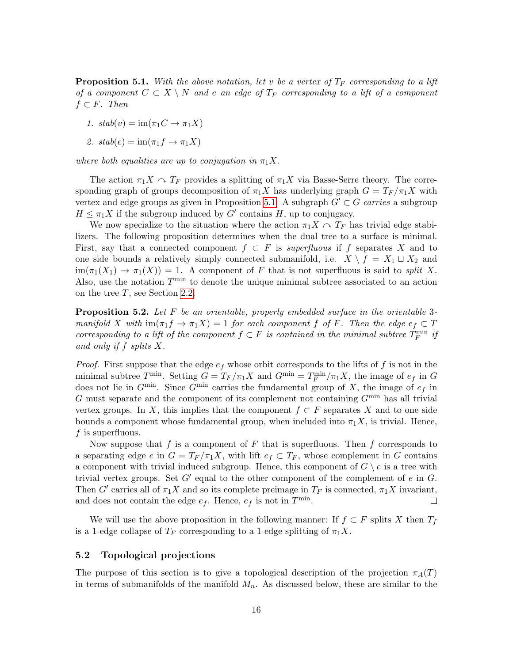**Proposition 5.1.** With the above notation, let v be a vertex of  $T_F$  corresponding to a lift of a component  $C \subset X \setminus N$  and e an edge of  $T_F$  corresponding to a lift of a component  $f \subset F$ . Then

1.  $stab(v) = \text{im}(\pi_1 C \to \pi_1 X)$ 

2. 
$$
stab(e) = \text{im}(\pi_1 f \to \pi_1 X)
$$

where both equalities are up to conjugation in  $\pi_1 X$ .

The action  $\pi_1 X \cap T_F$  provides a splitting of  $\pi_1 X$  via Basse-Serre theory. The corresponding graph of groups decomposition of  $\pi_1 X$  has underlying graph  $G = T_F / \pi_1 X$  with vertex and edge groups as given in Proposition [5.1.](#page-14-1) A subgraph  $G' \subset G$  carries a subgroup  $H \leq \pi_1 X$  if the subgroup induced by  $G'$  contains H, up to conjugacy.

We now specialize to the situation where the action  $\pi_1 X \cap T_F$  has trivial edge stabilizers. The following proposition determines when the dual tree to a surface is minimal. First, say that a connected component  $f \subset F$  is superfluous if f separates X and to one side bounds a relatively simply connected submanifold, i.e.  $X \setminus f = X_1 \sqcup X_2$  and  $\text{im}(\pi_1(X_1) \to \pi_1(X)) = 1$ . A component of F that is not superfluous is said to split X. Also, use the notation  $T^{\min}$  to denote the unique minimal subtree associated to an action on the tree  $T$ , see Section [2.2.](#page-3-0)

<span id="page-15-0"></span>**Proposition 5.2.** Let  $F$  be an orientable, properly embedded surface in the orientable 3manifold X with  $\text{im}(\pi_1 f \to \pi_1 X) = 1$  for each component f of F. Then the edge  $e_f \subset T$ corresponding to a lift of the component  $f \subset F$  is contained in the minimal subtree  $T_F^{\min}$  if and only if f splits X.

*Proof.* First suppose that the edge  $e_f$  whose orbit corresponds to the lifts of f is not in the minimal subtree  $T^{\min}$ . Setting  $G = T_F/\pi_1 X$  and  $G^{\min} = T_F^{\min}/\pi_1 X$ , the image of  $e_f$  in  $G$ does not lie in  $G^{\min}$ . Since  $G^{\min}$  carries the fundamental group of X, the image of  $e_f$  in G must separate and the component of its complement not containing  $G^{\min}$  has all trivial vertex groups. In X, this implies that the component  $f \subset F$  separates X and to one side bounds a component whose fundamental group, when included into  $\pi_1 X$ , is trivial. Hence,  $f$  is superfluous.

Now suppose that f is a component of F that is superfluous. Then f corresponds to a separating edge e in  $G = T_F / \pi_1 X$ , with lift  $e_f \subset T_F$ , whose complement in G contains a component with trivial induced subgroup. Hence, this component of  $G \setminus e$  is a tree with trivial vertex groups. Set  $G'$  equal to the other component of the complement of e in  $G$ . Then G' carries all of  $\pi_1 X$  and so its complete preimage in  $T_F$  is connected,  $\pi_1 X$  invariant, and does not contain the edge  $e_f$ . Hence,  $e_f$  is not in  $T^{\min}$ .  $\Box$ 

We will use the above proposition in the following manner: If  $f \subset F$  splits X then  $T_f$ is a 1-edge collapse of  $T_F$  corresponding to a 1-edge splitting of  $\pi_1 X$ .

#### 5.2 Topological projections

The purpose of this section is to give a topological description of the projection  $\pi_A(T)$ in terms of submanifolds of the manifold  $M_n$ . As discussed below, these are similar to the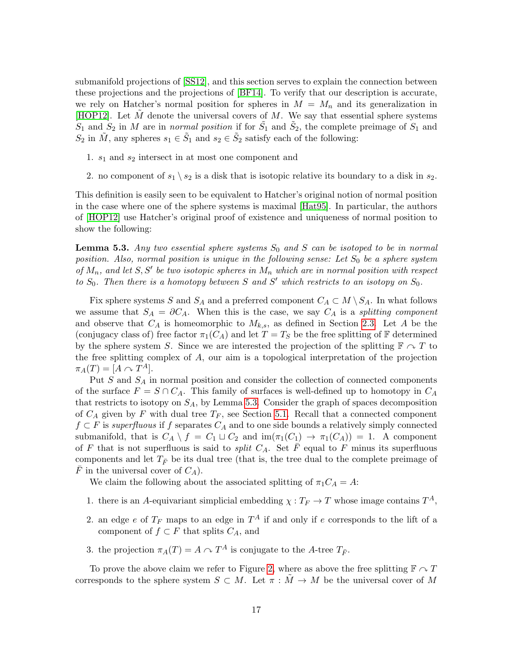submanifold projections of [\[SS12\]](#page-33-5), and this section serves to explain the connection between these projections and the projections of [\[BF14\]](#page-32-1). To verify that our description is accurate, we rely on Hatcher's normal position for spheres in  $M = M_n$  and its generalization in [\[HOP12\]](#page-33-13). Let M denote the universal covers of M. We say that essential sphere systems  $S_1$  and  $S_2$  in M are in normal position if for  $\tilde{S}_1$  and  $\tilde{S}_2$ , the complete preimage of  $S_1$  and  $S_2$  in  $\tilde{M}$ , any spheres  $s_1 \in \tilde{S}_1$  and  $s_2 \in \tilde{S}_2$  satisfy each of the following:

- 1.  $s_1$  and  $s_2$  intersect in at most one component and
- 2. no component of  $s_1 \setminus s_2$  is a disk that is isotopic relative its boundary to a disk in  $s_2$ .

This definition is easily seen to be equivalent to Hatcher's original notion of normal position in the case where one of the sphere systems is maximal [\[Hat95\]](#page-32-7). In particular, the authors of [\[HOP12\]](#page-33-13) use Hatcher's original proof of existence and uniqueness of normal position to show the following:

<span id="page-16-0"></span>**Lemma 5.3.** Any two essential sphere systems  $S_0$  and S can be isotoped to be in normal position. Also, normal position is unique in the following sense: Let  $S_0$  be a sphere system of  $M_n$ , and let S, S' be two isotopic spheres in  $M_n$  which are in normal position with respect to  $S_0$ . Then there is a homotopy between S and S' which restricts to an isotopy on  $S_0$ .

Fix sphere systems S and S<sub>A</sub> and a preferred component  $C_A \subset M \setminus S_A$ . In what follows we assume that  $S_A = \partial C_A$ . When this is the case, we say  $C_A$  is a *splitting component* and observe that  $C_A$  is homeomorphic to  $M_{k,s}$ , as defined in Section [2.3.](#page-5-1) Let A be the (conjugacy class of) free factor  $\pi_1(C_A)$  and let  $T = T_S$  be the free splitting of F determined by the sphere system S. Since we are interested the projection of the splitting  $\mathbb{F} \cap T$  to the free splitting complex of A, our aim is a topological interpretation of the projection  $\pi_A(T) = [A \curvearrowright T^A].$ 

Put  $S$  and  $S_A$  in normal position and consider the collection of connected components of the surface  $F = S \cap C_A$ . This family of surfaces is well-defined up to homotopy in  $C_A$ that restricts to isotopy on  $S_A$ , by Lemma [5.3.](#page-16-0) Consider the graph of spaces decomposition of  $C_A$  given by F with dual tree  $T_F$ , see Section [5.1.](#page-14-0) Recall that a connected component  $f \subset F$  is superfluous if f separates  $C_A$  and to one side bounds a relatively simply connected submanifold, that is  $C_A \setminus f = C_1 \sqcup C_2$  and  $\text{im}(\pi_1(C_1) \to \pi_1(C_A)) = 1$ . A component of F that is not superfluous is said to *split*  $C_A$ . Set  $\overline{F}$  equal to F minus its superfluous components and let  $T_{\bar{F}}$  be its dual tree (that is, the tree dual to the complete preimage of F in the universal cover of  $C_A$ ).

We claim the following about the associated splitting of  $\pi_1 C_A = A$ :

- 1. there is an A-equivariant simplicial embedding  $\chi : T_F \to T$  whose image contains  $T^A$ ,
- 2. an edge e of  $T_F$  maps to an edge in  $T^A$  if and only if e corresponds to the lift of a component of  $f \subset F$  that splits  $C_A$ , and
- 3. the projection  $\pi_A(T) = A \cap T^A$  is conjugate to the A-tree  $T_{\bar{F}}$ .

To prove the above claim we refer to Figure [2,](#page-17-0) where as above the free splitting  $\mathbb{F} \cap T$ corresponds to the sphere system  $S \subset M$ . Let  $\pi : \tilde{M} \to M$  be the universal cover of M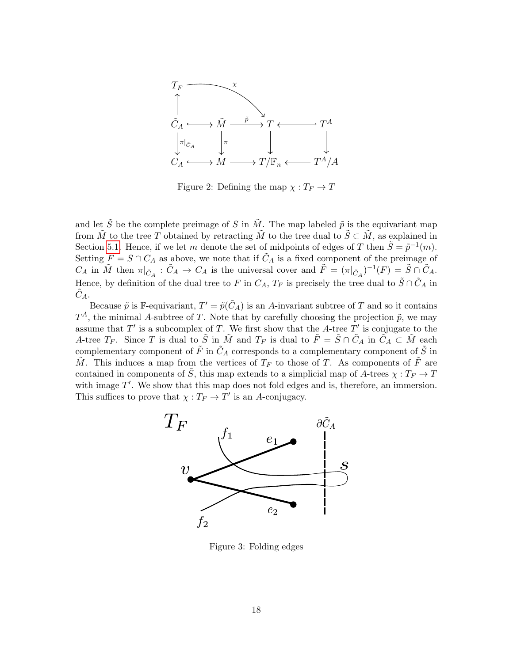

<span id="page-17-0"></span>Figure 2: Defining the map  $\chi: T_F \to T$ 

and let  $\tilde{S}$  be the complete preimage of S in  $\tilde{M}$ . The map labeled  $\tilde{p}$  is the equivariant map from  $\tilde{M}$  to the tree T obtained by retracting  $\tilde{M}$  to the tree dual to  $\tilde{S} \subset \tilde{M}$ , as explained in Section [5.1.](#page-14-0) Hence, if we let m denote the set of midpoints of edges of T then  $\tilde{S} = \tilde{p}^{-1}(m)$ . Setting  $F = S \cap C_A$  as above, we note that if  $\tilde{C}_A$  is a fixed component of the preimage of  $C_A$  in  $\tilde{M}$  then  $\pi|_{\tilde{C}_A}: \tilde{C}_A \to C_A$  is the universal cover and  $\tilde{F} = (\pi|_{\tilde{C}_A})^{-1}(F) = \tilde{S} \cap \tilde{C}_A$ . Hence, by definition of the dual tree to F in  $C_A$ ,  $T_F$  is precisely the tree dual to  $\tilde{S} \cap \tilde{C}_A$  in  $C_A$ .

Because  $\tilde{p}$  is F-equivariant,  $T' = \tilde{p}(\tilde{C}_A)$  is an A-invariant subtree of T and so it contains  $T^A$ , the minimal A-subtree of T. Note that by carefully choosing the projection  $\tilde{p}$ , we may assume that  $T'$  is a subcomplex of T. We first show that the A-tree  $T'$  is conjugate to the A-tree  $T_F$ . Since T is dual to  $\tilde{S}$  in  $\tilde{M}$  and  $T_F$  is dual to  $\tilde{F} = \tilde{S} \cap \tilde{C}_A$  in  $\tilde{C}_A \subset \tilde{M}$  each complementary component of  $\tilde{F}$  in  $\tilde{C}_A$  corresponds to a complementary component of  $\tilde{S}$  in  $\tilde{M}$ . This induces a map from the vertices of  $T_F$  to those of T. As components of  $\tilde{F}$  are contained in components of  $\tilde{S}$ , this map extends to a simplicial map of A-trees  $\chi: T_F \to T$ with image  $T'$ . We show that this map does not fold edges and is, therefore, an immersion. This suffices to prove that  $\chi : T_F \to T'$  is an A-conjugacy.



<span id="page-17-1"></span>Figure 3: Folding edges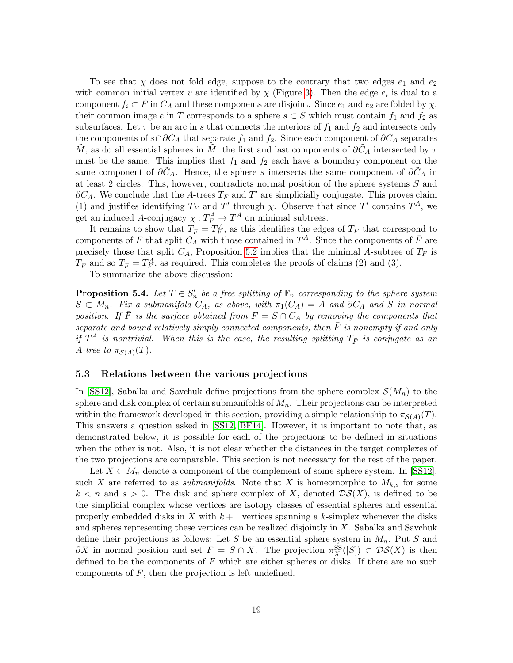To see that  $\chi$  does not fold edge, suppose to the contrary that two edges  $e_1$  and  $e_2$ with common initial vertex v are identified by  $\chi$  (Figure [3\)](#page-17-1). Then the edge  $e_i$  is dual to a component  $f_i \subset F$  in  $C_A$  and these components are disjoint. Since  $e_1$  and  $e_2$  are folded by  $\chi$ , their common image e in T corresponds to a sphere  $s \subset \tilde{S}$  which must contain  $f_1$  and  $f_2$  as subsurfaces. Let  $\tau$  be an arc in s that connects the interiors of  $f_1$  and  $f_2$  and intersects only the components of  $s \cap \partial C_A$  that separate  $f_1$  and  $f_2$ . Since each component of  $\partial \tilde{C}_A$  separates M, as do all essential spheres in M, the first and last components of  $\partial C_A$  intersected by  $\tau$ must be the same. This implies that  $f_1$  and  $f_2$  each have a boundary component on the same component of  $\partial C_A$ . Hence, the sphere s intersects the same component of  $\partial C_A$  in at least 2 circles. This, however, contradicts normal position of the sphere systems S and  $\partial C_A$ . We conclude that the A-trees  $T_F$  and  $T'$  are simplicially conjugate. This proves claim (1) and justifies identifying  $T_F$  and  $T'$  through  $\chi$ . Observe that since  $T'$  contains  $T^A$ , we get an induced A-conjugacy  $\chi: T_F^A \to T^A$  on minimal subtrees.

It remains to show that  $T_{\bar{F}} = T_F^A$ , as this identifies the edges of  $T_F$  that correspond to components of F that split  $C_A$  with those contained in  $T^A$ . Since the components of  $\bar{F}$  are precisely those that split  $C_A$ , Proposition [5.2](#page-15-0) implies that the minimal A-subtree of  $T_F$  is  $T_{\bar{F}}$  and so  $T_{\bar{F}} = T_F^A$ , as required. This completes the proofs of claims (2) and (3).

To summarize the above discussion:

<span id="page-18-1"></span>**Proposition 5.4.** Let  $T \in \mathcal{S}'_n$  be a free splitting of  $\mathbb{F}_n$  corresponding to the sphere system  $S \subset M_n$ . Fix a submanifold  $C_A$ , as above, with  $\pi_1(C_A) = A$  and  $\partial C_A$  and S in normal position. If F is the surface obtained from  $F = S \cap C_A$  by removing the components that separate and bound relatively simply connected components, then  $\overline{F}$  is nonempty if and only if  $T^{A}$  is nontrivial. When this is the case, the resulting splitting  $T_{\bar{F}}$  is conjugate as an A-tree to  $\pi_{\mathcal{S}(A)}(T)$ .

#### <span id="page-18-0"></span>5.3 Relations between the various projections

In [\[SS12\]](#page-33-5), Sabalka and Savchuk define projections from the sphere complex  $\mathcal{S}(M_n)$  to the sphere and disk complex of certain submanifolds of  $M_n$ . Their projections can be interpreted within the framework developed in this section, providing a simple relationship to  $\pi_{\mathcal{S}(A)}(T)$ . This answers a question asked in [\[SS12,](#page-33-5) [BF14\]](#page-32-1). However, it is important to note that, as demonstrated below, it is possible for each of the projections to be defined in situations when the other is not. Also, it is not clear whether the distances in the target complexes of the two projections are comparable. This section is not necessary for the rest of the paper.

Let  $X \subset M_n$  denote a component of the complement of some sphere system. In [\[SS12\]](#page-33-5), such X are referred to as *submanifolds*. Note that X is homeomorphic to  $M_{k,s}$  for some  $k < n$  and  $s > 0$ . The disk and sphere complex of X, denoted  $\mathcal{DS}(X)$ , is defined to be the simplicial complex whose vertices are isotopy classes of essential spheres and essential properly embedded disks in X with  $k+1$  vertices spanning a k-simplex whenever the disks and spheres representing these vertices can be realized disjointly in X. Sabalka and Savchuk define their projections as follows: Let S be an essential sphere system in  $M_n$ . Put S and  $\partial X$  in normal position and set  $F = S \cap X$ . The projection  $\pi_X^{\text{SS}}([S]) \subset \mathcal{DS}(X)$  is then defined to be the components of  $F$  which are either spheres or disks. If there are no such components of  $F$ , then the projection is left undefined.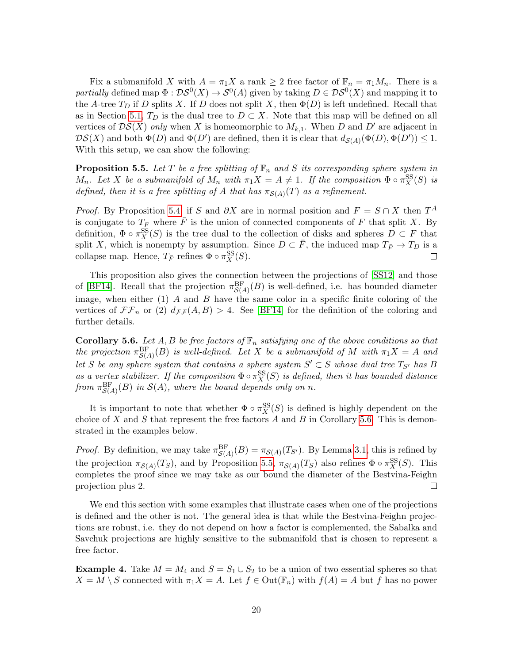Fix a submanifold X with  $A = \pi_1 X$  a rank  $\geq 2$  free factor of  $\mathbb{F}_n = \pi_1 M_n$ . There is a partially defined map  $\Phi : \mathcal{DS}^0(X) \to \mathcal{S}^0(A)$  given by taking  $D \in \mathcal{DS}^0(X)$  and mapping it to the A-tree  $T_D$  if D splits X. If D does not split X, then  $\Phi(D)$  is left undefined. Recall that as in Section [5.1,](#page-14-0)  $T_D$  is the dual tree to  $D \subset X$ . Note that this map will be defined on all vertices of  $DS(X)$  only when X is homeomorphic to  $M_{k,1}$ . When D and D' are adjacent in  $DS(X)$  and both  $\Phi(D)$  and  $\Phi(D')$  are defined, then it is clear that  $d_{\mathcal{S}(A)}(\Phi(D), \Phi(D')) \leq 1$ . With this setup, we can show the following:

<span id="page-19-1"></span>**Proposition 5.5.** Let T be a free splitting of  $\mathbb{F}_n$  and S its corresponding sphere system in M<sub>n</sub>. Let X be a submanifold of  $M_n$  with  $\pi_1 X = A \neq 1$ . If the composition  $\Phi \circ \pi_X^{SS}(S)$  is defined, then it is a free splitting of A that has  $\pi_{\mathcal{S}(A)}(T)$  as a refinement.

*Proof.* By Proposition [5.4,](#page-18-1) if S and  $\partial X$  are in normal position and  $F = S \cap X$  then  $T^A$ is conjugate to  $T_{\bar{F}}$  where  $\bar{F}$  is the union of connected components of F that split X. By definition,  $\Phi \circ \pi_X^S(S)$  is the tree dual to the collection of disks and spheres  $D \subset F$  that split X, which is nonempty by assumption. Since  $D \subset \overline{F}$ , the induced map  $T_{\overline{F}} \to T_D$  is a collapse map. Hence,  $T_{\bar{F}}$  refines  $\Phi \circ \pi_X^{\text{SS}}(S)$ .

This proposition also gives the connection between the projections of [\[SS12\]](#page-33-5) and those of [\[BF14\]](#page-32-1). Recall that the projection  $\pi_{\mathcal{S}(A)}^{\text{BF}}(B)$  is well-defined, i.e. has bounded diameter image, when either  $(1)$  A and B have the same color in a specific finite coloring of the vertices of  $\mathcal{F}\mathcal{F}_n$  or (2)  $d_{\mathcal{F}\mathcal{F}}(A, B) > 4$ . See [\[BF14\]](#page-32-1) for the definition of the coloring and further details.

<span id="page-19-0"></span>**Corollary 5.6.** Let A, B be free factors of  $\mathbb{F}_n$  satisfying one of the above conditions so that the projection  $\pi_{\mathcal{S}(A)}^{\text{BF}}(B)$  is well-defined. Let X be a submanifold of M with  $\pi_1 X = A$  and let S be any sphere system that contains a sphere system  $S' \subset S$  whose dual tree  $T_{S'}$  has B as a vertex stabilizer. If the composition  $\Phi \circ \pi_X^S(S)$  is defined, then it has bounded distance from  $\pi_{\mathcal{S}(A)}^{\rm BF}(B)$  in  $\mathcal{S}(A)$ , where the bound depends only on n.

It is important to note that whether  $\Phi \circ \pi_X^{\text{SS}}(S)$  is defined is highly dependent on the choice of X and S that represent the free factors A and B in Corollary [5.6.](#page-19-0) This is demonstrated in the examples below.

*Proof.* By definition, we may take  $\pi_{\mathcal{S}(A)}^{\text{BF}}(B) = \pi_{\mathcal{S}(A)}(T_{\mathcal{S}'})$ . By Lemma [3.1,](#page-6-0) this is refined by the projection  $\pi_{\mathcal{S}(A)}(T_S)$ , and by Proposition [5.5,](#page-19-1)  $\pi_{\mathcal{S}(A)}(T_S)$  also refines  $\Phi \circ \pi_X^{\mathcal{SS}}(S)$ . This completes the proof since we may take as our bound the diameter of the Bestvina-Feighn projection plus 2. П

We end this section with some examples that illustrate cases when one of the projections is defined and the other is not. The general idea is that while the Bestvina-Feighn projections are robust, i.e. they do not depend on how a factor is complemented, the Sabalka and Savchuk projections are highly sensitive to the submanifold that is chosen to represent a free factor.

**Example 4.** Take  $M = M_4$  and  $S = S_1 \cup S_2$  to be a union of two essential spheres so that  $X = M \setminus S$  connected with  $\pi_1 X = A$ . Let  $f \in Out(\mathbb{F}_n)$  with  $f(A) = A$  but f has no power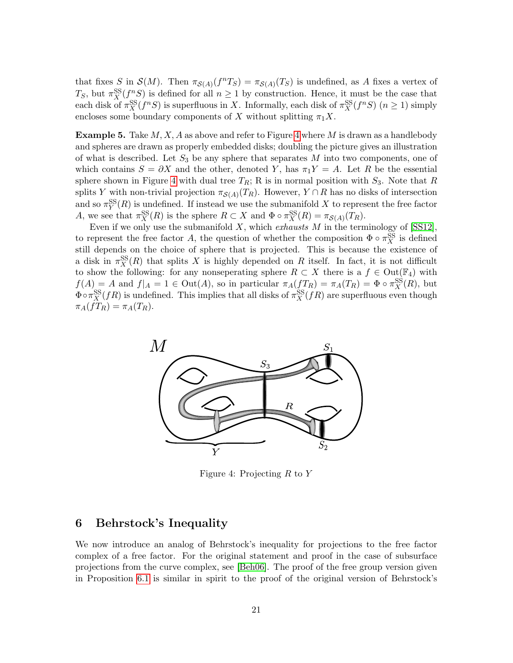that fixes S in  $\mathcal{S}(M)$ . Then  $\pi_{\mathcal{S}(A)}(f^nT_S) = \pi_{\mathcal{S}(A)}(T_S)$  is undefined, as A fixes a vertex of  $T_S$ , but  $\pi_X^{\text{SS}}(f^n S)$  is defined for all  $n \geq 1$  by construction. Hence, it must be the case that each disk of  $\pi_X^{\text{SS}}(f^nS)$  is superfluous in X. Informally, each disk of  $\pi_X^{\text{SS}}(f^nS)$   $(n \ge 1)$  simply encloses some boundary components of X without splitting  $\pi_1 X$ .

**Example 5.** Take  $M, X, A$  as above and refer to Figure [4](#page-20-0) where M is drawn as a handlebody and spheres are drawn as properly embedded disks; doubling the picture gives an illustration of what is described. Let  $S_3$  be any sphere that separates M into two components, one of which contains  $S = \partial X$  and the other, denoted Y, has  $\pi_1 Y = A$ . Let R be the essential sphere shown in Figure [4](#page-20-0) with dual tree  $T_R$ ; R is in normal position with  $S_3$ . Note that R splits Y with non-trivial projection  $\pi_{\mathcal{S}(A)}(T_R)$ . However,  $Y \cap R$  has no disks of intersection and so  $\pi_Y^{\text{SS}}(R)$  is undefined. If instead we use the submanifold X to represent the free factor A, we see that  $\pi_X^{\text{SS}}(R)$  is the sphere  $R \subset X$  and  $\Phi \circ \pi_X^{\text{SS}}(R) = \pi_{\mathcal{S}(A)}(T_R)$ .

Even if we only use the submanifold  $X$ , which exhausts  $M$  in the terminology of  $[SS12]$ , to represent the free factor A, the question of whether the composition  $\Phi \circ \pi_X^{\text{SS}}$  is defined still depends on the choice of sphere that is projected. This is because the existence of a disk in  $\pi_X^{\text{SS}}(R)$  that splits X is highly depended on R itself. In fact, it is not difficult to show the following: for any nonseperating sphere  $R \subset X$  there is a  $f \in Out(\mathbb{F}_4)$  with  $f(A) = A$  and  $f|_A = 1 \in Out(A)$ , so in particular  $\pi_A(f_{R}) = \pi_A(T_R) = \Phi \circ \pi_X^{\text{SS}}(R)$ , but  $\Phi \circ \pi_X^{\text{SS}}(fR)$  is undefined. This implies that all disks of  $\pi_X^{\text{SS}}(fR)$  are superfluous even though  $\pi_A(fT_R) = \pi_A(T_R).$ 



<span id="page-20-0"></span>Figure 4: Projecting  $R$  to  $Y$ 

# 6 Behrstock's Inequality

We now introduce an analog of Behrstock's inequality for projections to the free factor complex of a free factor. For the original statement and proof in the case of subsurface projections from the curve complex, see [\[Beh06\]](#page-32-10). The proof of the free group version given in Proposition [6.1](#page-21-0) is similar in spirit to the proof of the original version of Behrstock's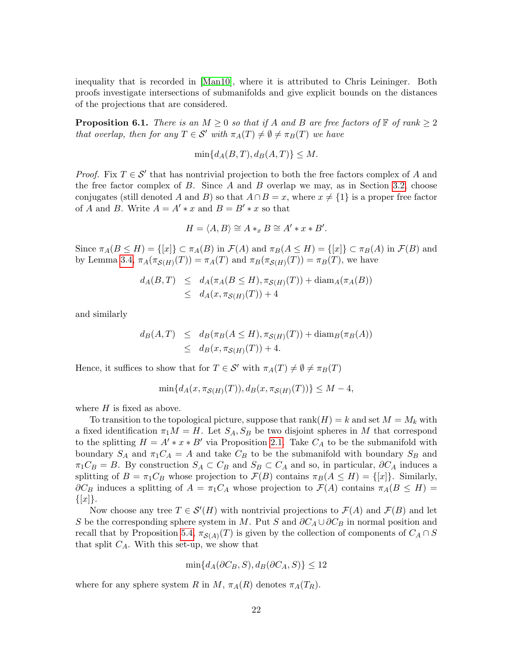inequality that is recorded in [\[Man10\]](#page-33-14), where it is attributed to Chris Leininger. Both proofs investigate intersections of submanifolds and give explicit bounds on the distances of the projections that are considered.

<span id="page-21-0"></span>**Proposition 6.1.** There is an  $M \geq 0$  so that if A and B are free factors of  $\mathbb{F}$  of rank  $\geq 2$ that overlap, then for any  $T \in \mathcal{S}'$  with  $\pi_A(T) \neq \emptyset \neq \pi_B(T)$  we have

$$
\min\{d_A(B,T), d_B(A,T)\} \le M.
$$

*Proof.* Fix  $T \in \mathcal{S}'$  that has nontrivial projection to both the free factors complex of A and the free factor complex of  $B$ . Since  $A$  and  $B$  overlap we may, as in Section [3.2,](#page-7-0) choose conjugates (still denoted A and B) so that  $A \cap B = x$ , where  $x \neq \{1\}$  is a proper free factor of A and B. Write  $A = A' * x$  and  $B = B' * x$  so that

$$
H = \langle A, B \rangle \cong A *_{x} B \cong A' * x * B'.
$$

Since  $\pi_A(B \le H) = \{[x]\}\subset \pi_A(B)$  in  $\mathcal{F}(A)$  and  $\pi_B(A \le H) = \{[x]\}\subset \pi_B(A)$  in  $\mathcal{F}(B)$  and by Lemma [3.4,](#page-8-0)  $\pi_A(\pi_{\mathcal{S}(H)}(T)) = \pi_A(T)$  and  $\pi_B(\pi_{\mathcal{S}(H)}(T)) = \pi_B(T)$ , we have

$$
d_A(B,T) \leq d_A(\pi_A(B \leq H), \pi_{\mathcal{S}(H)}(T)) + \text{diam}_A(\pi_A(B))
$$
  

$$
\leq d_A(x, \pi_{\mathcal{S}(H)}(T)) + 4
$$

and similarly

$$
d_B(A, T) \leq d_B(\pi_B(A \leq H), \pi_{\mathcal{S}(H)}(T)) + \text{diam}_B(\pi_B(A))
$$
  

$$
\leq d_B(x, \pi_{\mathcal{S}(H)}(T)) + 4.
$$

Hence, it suffices to show that for  $T \in \mathcal{S}'$  with  $\pi_A(T) \neq \emptyset \neq \pi_B(T)$ 

$$
\min\{d_A(x,\pi_{\mathcal{S}(H)}(T)),d_B(x,\pi_{\mathcal{S}(H)}(T))\}\leq M-4,
$$

where  $H$  is fixed as above.

To transition to the topological picture, suppose that  $rank(H) = k$  and set  $M = M_k$  with a fixed identification  $\pi_1 M = H$ . Let  $S_A, S_B$  be two disjoint spheres in M that correspond to the splitting  $H = A' * x * B'$  via Proposition [2.1.](#page-5-2) Take  $C_A$  to be the submanifold with boundary  $S_A$  and  $\pi_1 C_A = A$  and take  $C_B$  to be the submanifold with boundary  $S_B$  and  $\pi_1 C_B = B$ . By construction  $S_A \subset C_B$  and  $S_B \subset C_A$  and so, in particular,  $\partial C_A$  induces a splitting of  $B = \pi_1 C_B$  whose projection to  $\mathcal{F}(B)$  contains  $\pi_B(A \leq H) = \{[x]\}\$ . Similarly,  $\partial C_B$  induces a splitting of  $A = \pi_1 C_A$  whose projection to  $\mathcal{F}(A)$  contains  $\pi_A(B \le H)$  $\{[x]\}.$ 

Now choose any tree  $T \in \mathcal{S}'(H)$  with nontrivial projections to  $\mathcal{F}(A)$  and  $\mathcal{F}(B)$  and let S be the corresponding sphere system in M. Put S and  $\partial C_A \cup \partial C_B$  in normal position and recall that by Proposition [5.4,](#page-18-1)  $\pi_{\mathcal{S}(A)}(T)$  is given by the collection of components of  $C_A \cap S$ that split  $C_A$ . With this set-up, we show that

$$
\min\{d_A(\partial C_B, S), d_B(\partial C_A, S)\} \le 12
$$

where for any sphere system R in M,  $\pi_A(R)$  denotes  $\pi_A(T_R)$ .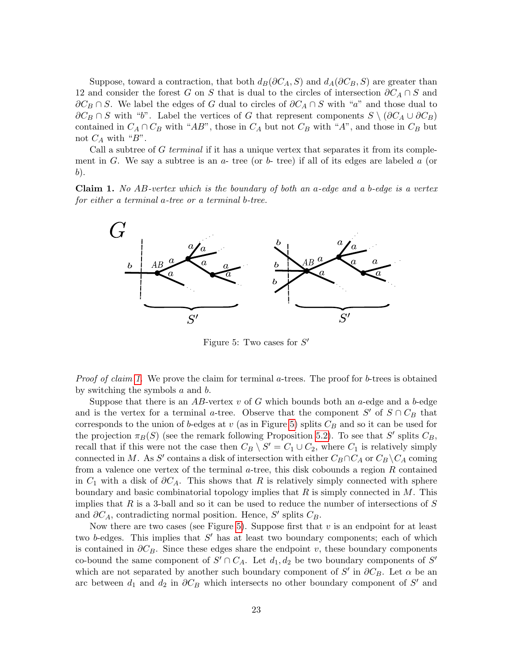Suppose, toward a contraction, that both  $d_B(\partial C_A, S)$  and  $d_A(\partial C_B, S)$  are greater than 12 and consider the forest G on S that is dual to the circles of intersection  $\partial C_A \cap S$  and  $\partial C_B \cap S$ . We label the edges of G dual to circles of  $\partial C_A \cap S$  with "a" and those dual to  $\partial C_B \cap S$  with "b". Label the vertices of G that represent components  $S \setminus (\partial C_A \cup \partial C_B)$ contained in  $C_A \cap C_B$  with "AB", those in  $C_A$  but not  $C_B$  with "A", and those in  $C_B$  but not  $C_A$  with "B".

Call a subtree of G terminal if it has a unique vertex that separates it from its complement in G. We say a subtree is an  $a$ - tree (or  $b$ - tree) if all of its edges are labeled a (or b).

<span id="page-22-0"></span>**Claim 1.** No  $AB$ -vertex which is the boundary of both an a-edge and a b-edge is a vertex for either a terminal a-tree or a terminal b-tree.



<span id="page-22-1"></span>Figure 5: Two cases for  $S'$ 

*Proof of claim [1.](#page-22-0)* We prove the claim for terminal a-trees. The proof for b-trees is obtained by switching the symbols  $a$  and  $b$ .

Suppose that there is an AB-vertex v of G which bounds both an a-edge and a b-edge and is the vertex for a terminal a-tree. Observe that the component  $S'$  of  $S \cap C_B$  that corresponds to the union of b-edges at v (as in Figure [5\)](#page-22-1) splits  $C_B$  and so it can be used for the projection  $\pi_B(S)$  (see the remark following Proposition [5.2\)](#page-15-0). To see that S' splits  $C_B$ , recall that if this were not the case then  $C_B \setminus S' = C_1 \cup C_2$ , where  $C_1$  is relatively simply connected in M. As S' contains a disk of intersection with either  $C_B \cap C_A$  or  $C_B \setminus C_A$  coming from a valence one vertex of the terminal  $a$ -tree, this disk cobounds a region R contained in  $C_1$  with a disk of  $\partial C_A$ . This shows that R is relatively simply connected with sphere boundary and basic combinatorial topology implies that  $R$  is simply connected in  $M$ . This implies that R is a 3-ball and so it can be used to reduce the number of intersections of  $S$ and  $\partial C_A$ , contradicting normal position. Hence, S' splits  $C_B$ .

Now there are two cases (see Figure [5\)](#page-22-1). Suppose first that  $v$  is an endpoint for at least two b-edges. This implies that  $S'$  has at least two boundary components; each of which is contained in  $\partial C_B$ . Since these edges share the endpoint v, these boundary components co-bound the same component of  $S' \cap C_A$ . Let  $d_1, d_2$  be two boundary components of  $S'$ which are not separated by another such boundary component of  $S'$  in  $\partial C_B$ . Let  $\alpha$  be an arc between  $d_1$  and  $d_2$  in  $\partial C_B$  which intersects no other boundary component of S' and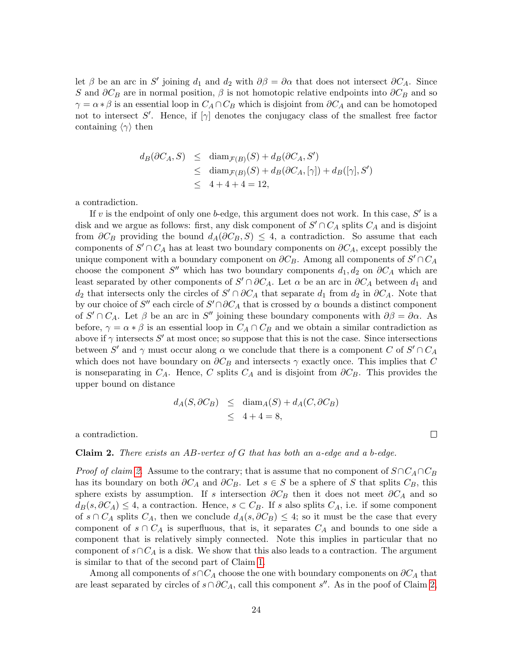let  $\beta$  be an arc in S' joining  $d_1$  and  $d_2$  with  $\partial \beta = \partial \alpha$  that does not intersect  $\partial C_A$ . Since S and  $\partial C_B$  are in normal position,  $\beta$  is not homotopic relative endpoints into  $\partial C_B$  and so  $\gamma = \alpha * \beta$  is an essential loop in  $C_A \cap C_B$  which is disjoint from  $\partial C_A$  and can be homotoped not to intersect S'. Hence, if  $[\gamma]$  denotes the conjugacy class of the smallest free factor containing  $\langle \gamma \rangle$  then

$$
d_B(\partial C_A, S) \le \text{diam}_{\mathcal{F}(B)}(S) + d_B(\partial C_A, S')
$$
  
\n
$$
\le \text{diam}_{\mathcal{F}(B)}(S) + d_B(\partial C_A, [\gamma]) + d_B([\gamma], S')
$$
  
\n
$$
\le 4 + 4 + 4 = 12,
$$

a contradiction.

If v is the endpoint of only one b-edge, this argument does not work. In this case,  $S'$  is a disk and we argue as follows: first, any disk component of  $S' \cap C_A$  splits  $C_A$  and is disjoint from  $\partial C_B$  providing the bound  $d_A(\partial C_B, S) \leq 4$ , a contradiction. So assume that each components of  $S' \cap C_A$  has at least two boundary components on  $\partial C_A$ , except possibly the unique component with a boundary component on  $\partial C_B$ . Among all components of  $S' \cap C_A$ choose the component S'' which has two boundary components  $d_1, d_2$  on  $\partial C_A$  which are least separated by other components of  $S' \cap \partial C_A$ . Let  $\alpha$  be an arc in  $\partial C_A$  between  $d_1$  and  $d_2$  that intersects only the circles of  $S' \cap \partial C_A$  that separate  $d_1$  from  $d_2$  in  $\partial C_A$ . Note that by our choice of  $S''$  each circle of  $S' \cap \partial C_A$  that is crossed by  $\alpha$  bounds a distinct component of  $S' \cap C_A$ . Let  $\beta$  be an arc in  $S''$  joining these boundary components with  $\partial \beta = \partial \alpha$ . As before,  $\gamma = \alpha * \beta$  is an essential loop in  $C_A \cap C_B$  and we obtain a similar contradiction as above if  $\gamma$  intersects  $S'$  at most once; so suppose that this is not the case. Since intersections between S' and  $\gamma$  must occur along  $\alpha$  we conclude that there is a component C of  $S' \cap C_A$ which does not have boundary on  $\partial C_B$  and intersects  $\gamma$  exactly once. This implies that C is nonseparating in  $C_A$ . Hence, C splits  $C_A$  and is disjoint from  $\partial C_B$ . This provides the upper bound on distance

$$
d_A(S, \partial C_B) \le \text{diam}_A(S) + d_A(C, \partial C_B)
$$
  
 
$$
\le 4 + 4 = 8,
$$

a contradiction.

#### <span id="page-23-0"></span>**Claim 2.** There exists an AB-vertex of G that has both an a-edge and a b-edge.

*Proof of claim [2.](#page-23-0)* Assume to the contrary; that is assume that no component of  $S \cap C_A \cap C_B$ has its boundary on both  $\partial C_A$  and  $\partial C_B$ . Let  $s \in S$  be a sphere of S that splits  $C_B$ , this sphere exists by assumption. If s intersection  $\partial C_B$  then it does not meet  $\partial C_A$  and so  $d_B(s, \partial C_A) \leq 4$ , a contraction. Hence,  $s \subset C_B$ . If s also splits  $C_A$ , i.e. if some component of  $s \cap C_A$  splits  $C_A$ , then we conclude  $d_A(s, \partial C_B) \leq 4$ ; so it must be the case that every component of  $s \cap C_A$  is superfluous, that is, it separates  $C_A$  and bounds to one side a component that is relatively simply connected. Note this implies in particular that no component of  $s \cap C_A$  is a disk. We show that this also leads to a contraction. The argument is similar to that of the second part of Claim [1.](#page-22-0)

Among all components of  $s \cap C_A$  choose the one with boundary components on  $\partial C_A$  that are least separated by circles of  $s \cap \partial C_A$ , call this component s''. As in the poof of Claim [2,](#page-23-0)

 $\Box$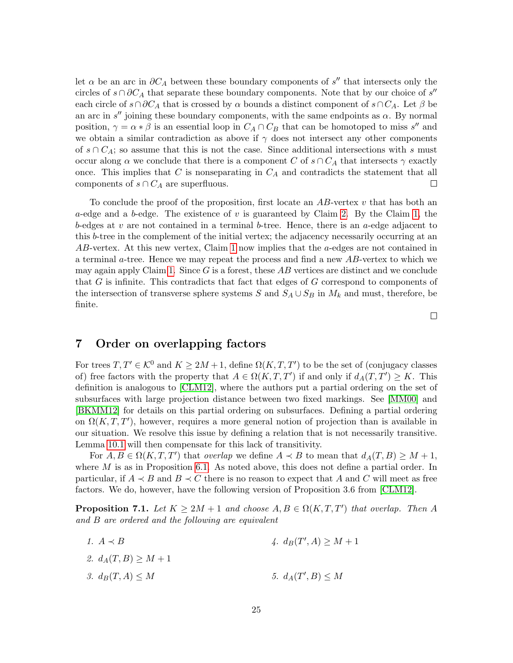let  $\alpha$  be an arc in  $\partial C_A$  between these boundary components of s'' that intersects only the circles of  $s \cap \partial C_A$  that separate these boundary components. Note that by our choice of  $s''$ each circle of  $s \cap \partial C_A$  that is crossed by  $\alpha$  bounds a distinct component of  $s \cap C_A$ . Let  $\beta$  be an arc in s'' joining these boundary components, with the same endpoints as  $\alpha$ . By normal position,  $\gamma = \alpha * \beta$  is an essential loop in  $C_A \cap C_B$  that can be homotoped to miss s'' and we obtain a similar contradiction as above if  $\gamma$  does not intersect any other components of  $s \cap C_A$ ; so assume that this is not the case. Since additional intersections with s must occur along  $\alpha$  we conclude that there is a component C of  $s \cap C_A$  that intersects  $\gamma$  exactly once. This implies that C is nonseparating in  $C_A$  and contradicts the statement that all components of  $s \cap C_A$  are superfluous.  $\Box$ 

To conclude the proof of the proposition, first locate an  $AB$ -vertex v that has both an a-edge and a b-edge. The existence of v is guaranteed by Claim [2.](#page-23-0) By the Claim [1,](#page-22-0) the b-edges at v are not contained in a terminal b-tree. Hence, there is an a-edge adjacent to this b-tree in the complement of the initial vertex; the adjacency necessarily occurring at an  $AB$ -vertex. At this new vertex, Claim [1](#page-22-0) now implies that the  $a$ -edges are not contained in a terminal a-tree. Hence we may repeat the process and find a new  $AB$ -vertex to which we may again apply Claim [1.](#page-22-0) Since  $G$  is a forest, these  $AB$  vertices are distinct and we conclude that G is infinite. This contradicts that fact that edges of G correspond to components of the intersection of transverse sphere systems S and  $S_A \cup S_B$  in  $M_k$  and must, therefore, be finite.

## 7 Order on overlapping factors

For trees  $T, T' \in \mathcal{K}^0$  and  $K \geq 2M + 1$ , define  $\Omega(K, T, T')$  to be the set of (conjugacy classes of) free factors with the property that  $A \in \Omega(K, T, T')$  if and only if  $d_A(T, T') \geq K$ . This definition is analogous to [\[CLM12\]](#page-32-0), where the authors put a partial ordering on the set of subsurfaces with large projection distance between two fixed markings. See [\[MM00\]](#page-33-3) and [\[BKMM12\]](#page-32-11) for details on this partial ordering on subsurfaces. Defining a partial ordering on  $\Omega(K, T, T')$ , however, requires a more general notion of projection than is available in our situation. We resolve this issue by defining a relation that is not necessarily transitive. Lemma [10.1](#page-29-1) will then compensate for this lack of transitivity.

For  $A, B \in \Omega(K, T, T')$  that overlap we define  $A \prec B$  to mean that  $d_A(T, B) \geq M + 1$ , where  $M$  is as in Proposition [6.1.](#page-21-0) As noted above, this does not define a partial order. In particular, if  $A \prec B$  and  $B \prec C$  there is no reason to expect that A and C will meet as free factors. We do, however, have the following version of Proposition 3.6 from [\[CLM12\]](#page-32-0).

<span id="page-24-0"></span>**Proposition 7.1.** Let  $K \geq 2M + 1$  and choose  $A, B \in \Omega(K, T, T')$  that overlap. Then A and B are ordered and the following are equivalent

1.  $A \prec B$ 2.  $d_A(T, B) \geq M + 1$ 3.  $d_B(T, A) \leq M$ 4.  $d_B(T', A) \geq M + 1$ 5.  $d_A(T', B) \leq M$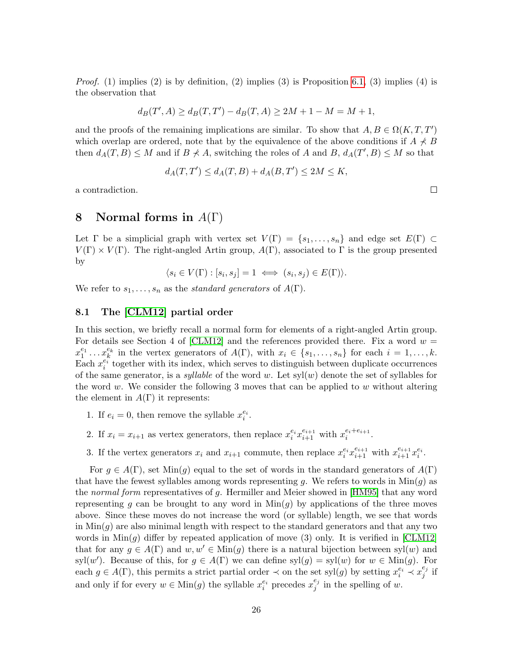*Proof.* (1) implies (2) is by definition, (2) implies (3) is Proposition [6.1,](#page-21-0) (3) implies (4) is the observation that

$$
d_B(T', A) \ge d_B(T, T') - d_B(T, A) \ge 2M + 1 - M = M + 1,
$$

and the proofs of the remaining implications are similar. To show that  $A, B \in \Omega(K, T, T')$ which overlap are ordered, note that by the equivalence of the above conditions if  $A \nless B$ then  $d_A(T, B) \leq M$  and if  $B \nless A$ , switching the roles of A and B,  $d_A(T', B) \leq M$  so that

$$
d_A(T, T') \le d_A(T, B) + d_A(B, T') \le 2M \le K,
$$

a contradiction.

# 8 Normal forms in  $A(\Gamma)$

Let  $\Gamma$  be a simplicial graph with vertex set  $V(\Gamma) = \{s_1, \ldots, s_n\}$  and edge set  $E(\Gamma) \subset$  $V(\Gamma) \times V(\Gamma)$ . The right-angled Artin group,  $A(\Gamma)$ , associated to  $\Gamma$  is the group presented by

$$
\langle s_i \in V(\Gamma) : [s_i, s_j] = 1 \iff (s_i, s_j) \in E(\Gamma) \rangle.
$$

We refer to  $s_1, \ldots, s_n$  as the standard generators of  $A(\Gamma)$ .

### 8.1 The [\[CLM12\]](#page-32-0) partial order

In this section, we briefly recall a normal form for elements of a right-angled Artin group. For details see Section 4 of [\[CLM12\]](#page-32-0) and the references provided there. Fix a word  $w =$  $x_1^{e_1} \ldots x_k^{e_k}$  in the vertex generators of  $A(\Gamma)$ , with  $x_i \in \{s_1, \ldots, s_n\}$  for each  $i = 1, \ldots, k$ . Each  $x_i^{e_i^{\omega}}$  together with its index, which serves to distinguish between duplicate occurrences of the same generator, is a *syllable* of the word w. Let  $syl(w)$  denote the set of syllables for the word w. We consider the following 3 moves that can be applied to w without altering the element in  $A(\Gamma)$  it represents:

- 1. If  $e_i = 0$ , then remove the syllable  $x_i^{e_i}$ .
- 2. If  $x_i = x_{i+1}$  as vertex generators, then replace  $x_i^{e_i} x_{i+1}^{e_{i+1}}$  with  $x_i^{e_i+e_{i+1}}$  $\frac{e_i+e_{i+1}}{i}$  .
- 3. If the vertex generators  $x_i$  and  $x_{i+1}$  commute, then replace  $x_i^{e_i}x_{i+1}^{e_{i+1}}$  with  $x_{i+1}^{e_{i+1}}x_i^{e_i}$ .

For  $g \in A(\Gamma)$ , set Min $(g)$  equal to the set of words in the standard generators of  $A(\Gamma)$ that have the fewest syllables among words representing q. We refers to words in  $Min(q)$  as the *normal form* representatives of g. Hermiller and Meier showed in [\[HM95\]](#page-33-15) that any word representing g can be brought to any word in  $\text{Min}(g)$  by applications of the three moves above. Since these moves do not increase the word (or syllable) length, we see that words in  $\text{Min}(g)$  are also minimal length with respect to the standard generators and that any two words in  $Min(g)$  differ by repeated application of move (3) only. It is verified in [\[CLM12\]](#page-32-0) that for any  $q \in A(\Gamma)$  and  $w, w' \in \text{Min}(q)$  there is a natural bijection between syl $(w)$  and syl(w'). Because of this, for  $g \in A(\Gamma)$  we can define syl $(g) = syl(w)$  for  $w \in \text{Min}(g)$ . For each  $g \in A(\Gamma)$ , this permits a strict partial order  $\prec$  on the set syl(g) by setting  $x_i^{e_i} \prec x_j^{e_j}$  $_j^{e_j}$  if and only if for every  $w \in \text{Min}(g)$  the syllable  $x_i^{e_i}$  precedes  $x_j^{e_j}$  $j^{e_j}$  in the spelling of w.

 $\Box$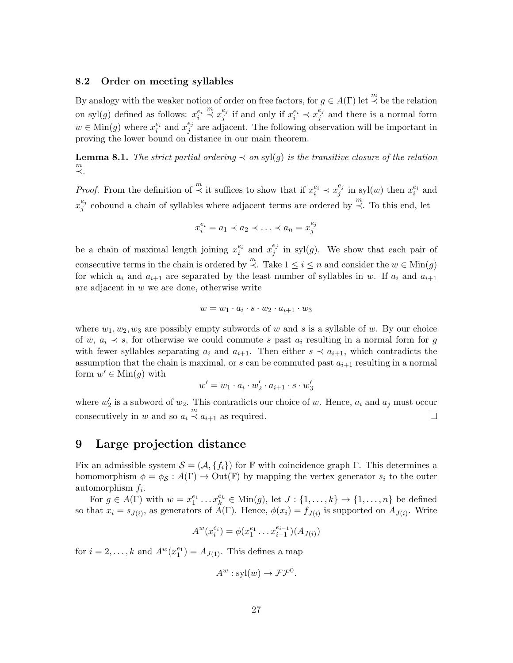#### 8.2 Order on meeting syllables

By analogy with the weaker notion of order on free factors, for  $g \in A(\Gamma)$  let  $\stackrel{m}{\prec}$  be the relation on syl $(g)$  defined as follows:  $x_i^{e_i}$  $\stackrel{m}{\prec} x_i^{e_j}$  $e_j^{e_j}$  if and only if  $x_i^{e_i} \prec x_j^{e_j}$  $j \atop j$  and there is a normal form  $w \in \text{Min}(g)$  where  $x_i^{e_i}$  and  $x_j^{e_j}$  $j \atop j$  are adjacent. The following observation will be important in proving the lower bound on distance in our main theorem.

<span id="page-26-0"></span>**Lemma 8.1.** The strict partial ordering  $\prec$  on syl(g) is the transitive closure of the relation m ≺.

*Proof.* From the definition of  $\stackrel{m}{\prec}$  it suffices to show that if  $x_i^{e_i} \prec x_j^{e_j}$  $_{j}^{e_j}$  in syl $(w)$  then  $x_i^{e_i}$  and  $x_i^{e_j}$  $e_j$  cobound a chain of syllables where adjacent terms are ordered by  $\stackrel{m}{\prec}$ . To this end, let

$$
x_i^{e_i} = a_1 \prec a_2 \prec \ldots \prec a_n = x_j^{e_j}
$$

be a chain of maximal length joining  $x_i^{e_i}$  and  $x_j^{e_j}$  $_{j}^{\epsilon_{j}}$  in syl(g). We show that each pair of consecutive terms in the chain is ordered by  $\stackrel{m}{\prec}$ . Take  $1 \leq i \leq n$  and consider the  $w \in \text{Min}(g)$ for which  $a_i$  and  $a_{i+1}$  are separated by the least number of syllables in w. If  $a_i$  and  $a_{i+1}$ are adjacent in  $w$  we are done, otherwise write

$$
w = w_1 \cdot a_i \cdot s \cdot w_2 \cdot a_{i+1} \cdot w_3
$$

where  $w_1, w_2, w_3$  are possibly empty subwords of w and s is a syllable of w. By our choice of w,  $a_i \prec s$ , for otherwise we could commute s past  $a_i$  resulting in a normal form for g with fewer syllables separating  $a_i$  and  $a_{i+1}$ . Then either  $s \prec a_{i+1}$ , which contradicts the assumption that the chain is maximal, or  $s$  can be commuted past  $a_{i+1}$  resulting in a normal form  $w' \in \text{Min}(g)$  with

$$
w' = w_1 \cdot a_i \cdot w'_2 \cdot a_{i+1} \cdot s \cdot w'_3
$$

where  $w_2'$  is a subword of  $w_2$ . This contradicts our choice of w. Hence,  $a_i$  and  $a_j$  must occur consecutively in w and so  $a_i \stackrel{m}{\prec} a_{i+1}$  as required.  $\Box$ 

## 9 Large projection distance

Fix an admissible system  $\mathcal{S} = (\mathcal{A}, \{f_i\})$  for F with coincidence graph Γ. This determines a homomorphism  $\phi = \phi_{\mathcal{S}} : A(\Gamma) \to \text{Out}(\mathbb{F})$  by mapping the vertex generator  $s_i$  to the outer automorphism  $f_i$ .

For  $g \in A(\Gamma)$  with  $w = x_1^{e_1} \dots x_k^{e_k} \in \text{Min}(g)$ , let  $J: \{1, \dots, k\} \to \{1, \dots, n\}$  be defined so that  $x_i = s_{J(i)}$ , as generators of  $A(\Gamma)$ . Hence,  $\phi(x_i) = f_{J(i)}$  is supported on  $A_{J(i)}$ . Write

$$
A^{w}(x_{i}^{e_{i}}) = \phi(x_{1}^{e_{1}} \dots x_{i-1}^{e_{i-1}})(A_{J(i)})
$$

for  $i = 2, ..., k$  and  $A^w(x_1^{e_1}) = A_{J(1)}$ . This defines a map

$$
A^w: \text{syl}(w) \to \mathcal{F}\mathcal{F}^0.
$$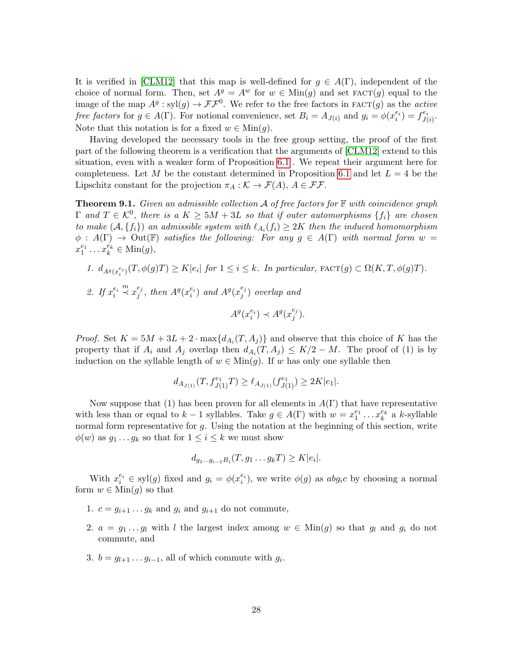It is verified in [\[CLM12\]](#page-32-0) that this map is well-defined for  $g \in A(\Gamma)$ , independent of the choice of normal form. Then, set  $A^g = A^w$  for  $w \in \text{Min}(g)$  and set  $\text{FACT}(g)$  equal to the image of the map  $A^g$ : syl $(g) \to \mathcal{F}\mathcal{F}^0$ . We refer to the free factors in FACT $(g)$  as the *active* free factors for  $g \in A(\Gamma)$ . For notional convenience, set  $B_i = A_{J(i)}$  and  $g_i = \phi(x_i^{e_i}) = f_{J(i)}^{e_i}$  $\overset{e_i}{\scriptstyle J(i)}\cdot$ Note that this notation is for a fixed  $w \in \text{Min}(g)$ .

Having developed the necessary tools in the free group setting, the proof of the first part of the following theorem is a verification that the arguments of [\[CLM12\]](#page-32-0) extend to this situation, even with a weaker form of Proposition [6.1](#page-21-0) . We repeat their argument here for completeness. Let M be the constant determined in Proposition [6.1](#page-21-0) and let  $L = 4$  be the Lipschitz constant for the projection  $\pi_A : \mathcal{K} \to \mathcal{F}(A), A \in \mathcal{FF}$ .

<span id="page-27-0"></span>**Theorem 9.1.** Given an admissible collection  $\mathcal A$  of free factors for  $\mathbb F$  with coincidence graph  $\Gamma$  and  $T \in \mathcal{K}^0$ , there is a  $K \geq 5M+3L$  so that if outer automorphisms  $\{f_i\}$  are chosen to make  $(A, \{f_i\})$  an admissible system with  $\ell_{A_i}(f_i) \geq 2K$  then the induced homomorphism  $\phi : A(\Gamma) \to \mathrm{Out}(\mathbb{F})$  satisfies the following: For any  $g \in A(\Gamma)$  with normal form  $w =$  $x_1^{e_1} \ldots x_k^{e_k} \in \text{Min}(g),$ 

1.  $d_{A^g(x_i^{e_i})}(T, \phi(g)T) \ge K|e_i|$  for  $1 \le i \le k$ . In particular,  $\text{FACT}(g) \subset \Omega(K, T, \phi(g)T)$ . 2. If  $x_i^{e_i}$  $\stackrel{m}{\prec} x_i^{e_j}$  $_j^{e_j}$ , then  $A^g(x_i^{e_i})$  and  $A^g(x_j^{e_j})$  $_j^{e_j}$ ) overlap and  $A^g(x_i^{e_i}) \prec A^g(x_j^{e_j})$  $\binom{e_j}{j}.$ 

*Proof.* Set  $K = 5M + 3L + 2 \cdot \max\{d_{A_i}(T, A_j)\}\$  and observe that this choice of K has the property that if  $A_i$  and  $A_j$  overlap then  $d_{A_i}(T, A_j) \leq K/2 - M$ . The proof of (1) is by induction on the syllable length of  $w \in \text{Min}(g)$ . If w has only one syllable then

$$
d_{A_{J(1)}}(T,f_{J(1)}^{e_1}T)\geq \ell_{A_{J(1)}}(f_{J(1)}^{e_1})\geq 2K|e_1|.
$$

Now suppose that (1) has been proven for all elements in  $A(\Gamma)$  that have representative with less than or equal to  $k-1$  syllables. Take  $g \in A(\Gamma)$  with  $w = x_1^{e_1} \dots x_k^{e_k}$  a k-syllable normal form representative for  $g$ . Using the notation at the beginning of this section, write  $\phi(w)$  as  $g_1 \dots g_k$  so that for  $1 \leq i \leq k$  we must show

$$
d_{g_1...g_{i-1}B_i}(T, g_1...g_kT) \ge K|e_i|.
$$

With  $x_i^{e_i} \in \text{syl}(g)$  fixed and  $g_i = \phi(x_i^{e_i})$ , we write  $\phi(g)$  as  $abg_ic$  by choosing a normal form  $w \in \text{Min}(q)$  so that

- 1.  $c = g_{i+1} \dots g_k$  and  $g_i$  and  $g_{i+1}$  do not commute,
- 2.  $a = g_1 \dots g_l$  with l the largest index among  $w \in \text{Min}(g)$  so that  $g_l$  and  $g_i$  do not commute, and
- 3.  $b = g_{l+1} \dots g_{i-1}$ , all of which commute with  $g_i$ .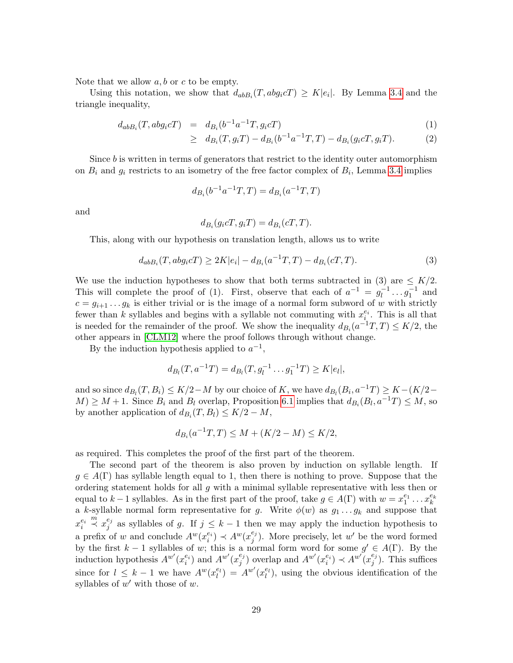Note that we allow  $a, b$  or  $c$  to be empty.

Using this notation, we show that  $d_{ab}(\mathcal{T}, abg_i\mathcal{C}) \geq K|e_i|$ . By Lemma [3.4](#page-8-0) and the triangle inequality,

$$
d_{ab}B_i(T, abg_i cT) = d_{B_i}(b^{-1}a^{-1}T, g_i cT)
$$
\n(1)

$$
\geq d_{B_i}(T, g_i T) - d_{B_i}(b^{-1}a^{-1}T, T) - d_{B_i}(g_i cT, g_i T). \tag{2}
$$

Since b is written in terms of generators that restrict to the identity outer automorphism on  $B_i$  and  $g_i$  restricts to an isometry of the free factor complex of  $B_i$ , Lemma [3.4](#page-8-0) implies

$$
d_{B_i}(b^{-1}a^{-1}T, T) = d_{B_i}(a^{-1}T, T)
$$

and

$$
d_{B_i}(g_i cT, g_i T) = d_{B_i}(cT, T).
$$

This, along with our hypothesis on translation length, allows us to write

$$
d_{ab}B_i(T, abg_i cT) \ge 2K|e_i| - d_{B_i}(a^{-1}T, T) - d_{B_i}(cT, T). \tag{3}
$$

We use the induction hypotheses to show that both terms subtracted in (3) are  $\leq K/2$ . This will complete the proof of (1). First, observe that each of  $a^{-1} = g_1^{-1}$  $l_1^{-1} \dots g_1^{-1}$  and  $c = g_{i+1} \dots g_k$  is either trivial or is the image of a normal form subword of w with strictly fewer than k syllables and begins with a syllable not commuting with  $x_{i}^{e_i}$ . This is all that is needed for the remainder of the proof. We show the inequality  $d_{B_i}(a^{-1}T, T) \leq K/2$ , the other appears in [\[CLM12\]](#page-32-0) where the proof follows through without change.

By the induction hypothesis applied to  $a^{-1}$ ,

$$
d_{B_l}(T, a^{-1}T) = d_{B_l}(T, g_l^{-1} \dots g_1^{-1}T) \ge K|e_l|,
$$

and so since  $d_{B_l}(T, B_i) \leq K/2-M$  by our choice of K, we have  $d_{B_l}(B_i, a^{-1}T) \geq K - (K/2 - 1)$  $M \geq M + 1$ . Since  $B_i$  and  $B_l$  overlap, Proposition [6.1](#page-21-0) implies that  $d_{B_i}(B_l, a^{-1}T) \leq M$ , so by another application of  $d_{B_i}(T, B_l) \leq K/2 - M$ ,

$$
d_{B_i}(a^{-1}T, T) \le M + (K/2 - M) \le K/2,
$$

as required. This completes the proof of the first part of the theorem.

The second part of the theorem is also proven by induction on syllable length. If  $g \in A(\Gamma)$  has syllable length equal to 1, then there is nothing to prove. Suppose that the ordering statement holds for all  $g$  with a minimal syllable representative with less then or equal to k – 1 syllables. As in the first part of the proof, take  $g \in A(\Gamma)$  with  $w = x_1^{e_1} \dots x_k^{e_k}$ a k-syllable normal form representative for g. Write  $\phi(w)$  as  $g_1 \dots g_k$  and suppose that  $x_i^{e_i}$  $\stackrel{m}{\prec} x_i^{e_j}$  $j \atop j$  as syllables of g. If  $j \leq k-1$  then we may apply the induction hypothesis to a prefix of w and conclude  $A^w(x_i^{e_i}) \prec A^w(x_j^{e_j})$  $j^{e_j}$ ). More precisely, let w' be the word formed by the first  $k-1$  syllables of w; this is a normal form word for some  $g' \in A(\Gamma)$ . By the induction hypothesis  $A^{w'}(x_i^{e_i})$  and  $A^{w'}(x_j^{e_j})$  $j^{(e_j)}$  overlap and  $A^{w'}(x_i^{e_i}) \prec A^{w'}(x_j^{e_j})$  $j^{e_j}$ ). This suffices since for  $l \leq k-1$  we have  $A^{w}(x_l^{e_l}) = A^{w'}(x_l^{e_l})$ , using the obvious identification of the syllables of  $w'$  with those of  $w$ .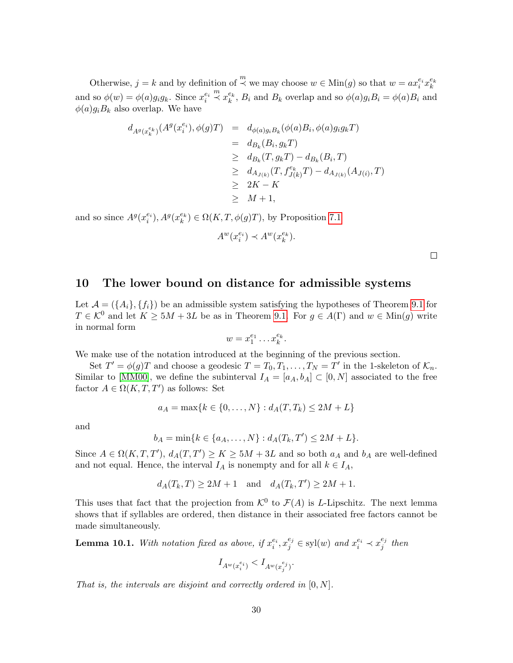Otherwise,  $j = k$  and by definition of  $\stackrel{m}{\prec}$  we may choose  $w \in \text{Min}(g)$  so that  $w = ax_i^{e_i} x_k^{e_k}$ and so  $\phi(w) = \phi(a)g_ig_k$ . Since  $x_i^{e_i}$  $\stackrel{m}{\prec} x_k^{e_k}, B_i$  and  $B_k$  overlap and so  $\phi(a)g_iB_i = \phi(a)B_i$  and  $\phi(a)g_iB_k$  also overlap. We have

$$
d_{A^g(x_k^{e_k})}(A^g(x_i^{e_i}), \phi(g)T) = d_{\phi(a)g_iB_k}(\phi(a)B_i, \phi(a)g_ig_kT)
$$
  
\n
$$
= d_{B_k}(B_i, g_kT)
$$
  
\n
$$
\geq d_{B_k}(T, g_kT) - d_{B_k}(B_i, T)
$$
  
\n
$$
\geq d_{A_{J(k)}}(T, f_{J(k)}^{e_k}T) - d_{A_{J(k)}}(A_{J(i)}, T)
$$
  
\n
$$
\geq 2K - K
$$
  
\n
$$
\geq M + 1,
$$

and so since  $A^g(x_i^{e_i}), A^g(x_k^{e_k}) \in \Omega(K, T, \phi(g)T)$ , by Proposition [7.1](#page-24-0)

$$
A^w(x_i^{e_i}) \prec A^w(x_k^{e_k}).
$$

 $\Box$ 

## <span id="page-29-0"></span>10 The lower bound on distance for admissible systems

Let  $\mathcal{A} = (\{A_i\}, \{f_i\})$  be an admissible system satisfying the hypotheses of Theorem [9.1](#page-27-0) for  $T \in \mathcal{K}^0$  and let  $K \geq 5M + 3L$  be as in Theorem [9.1.](#page-27-0) For  $g \in A(\Gamma)$  and  $w \in \text{Min}(g)$  write in normal form

$$
w = x_1^{e_1} \dots x_k^{e_k}.
$$

We make use of the notation introduced at the beginning of the previous section.

Set  $T' = \phi(g)T$  and choose a geodesic  $T = T_0, T_1, \ldots, T_N = T'$  in the 1-skeleton of  $\mathcal{K}_n$ . Similar to [\[MM00\]](#page-33-3), we define the subinterval  $I_A = [a_A, b_A] \subset [0, N]$  associated to the free factor  $A \in \Omega(K, T, T')$  as follows: Set

$$
a_A = \max\{k \in \{0, ..., N\} : d_A(T, T_k) \le 2M + L\}
$$

and

$$
b_A = \min\{k \in \{a_A, \dots, N\} : d_A(T_k, T') \le 2M + L\}.
$$

Since  $A \in \Omega(K, T, T')$ ,  $d_A(T, T') \ge K \ge 5M + 3L$  and so both  $a_A$  and  $b_A$  are well-defined and not equal. Hence, the interval  $I_A$  is nonempty and for all  $k \in I_A$ ,

$$
d_A(T_k, T) \ge 2M + 1 \quad \text{and} \quad d_A(T_k, T') \ge 2M + 1.
$$

This uses that fact that the projection from  $\mathcal{K}^0$  to  $\mathcal{F}(A)$  is L-Lipschitz. The next lemma shows that if syllables are ordered, then distance in their associated free factors cannot be made simultaneously.

<span id="page-29-1"></span>**Lemma 10.1.** With notation fixed as above, if  $x_i^{e_i}, x_j^{e_j} \in \text{syl}(w)$  and  $x_i^{e_i} \prec x_j^{e_j}$  $_j^{e_j}$  then

$$
I_{A^w(x_i^{e_i})} < I_{A^w(x_j^{e_j})}.
$$

That is, the intervals are disjoint and correctly ordered in  $[0, N]$ .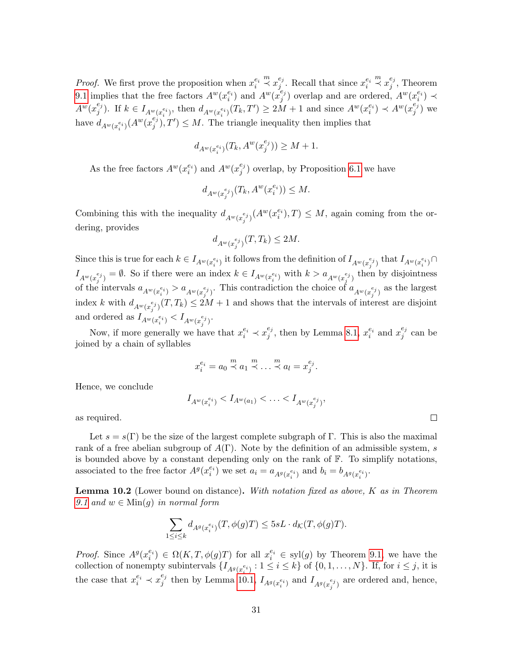*Proof.* We first prove the proposition when  $x_i^{e_i}$  $\stackrel{m}{\prec} x_i^{e_j}$  $e_j^{e_j}$ . Recall that since  $x_i^{e_i}$  $\stackrel{m}{\prec} x_i^{e_j}$  $j^{e_j}$ , Theorem [9.1](#page-27-0) implies that the free factors  $A^w(x_i^{e_i})$  and  $A^w(x_j^{e_j})$  $_j^{e_j}$ ) overlap and are ordered,  $A^w(x_i^{e_i}) \prec$  $A^w(x_i^{e_j})$  $j^{(e_j)}$ . If  $k \in I_{A^w(x_i^{e_i})}$ , then  $d_{A^w(x_i^{e_i})}(T_k, T') \ge 2M + 1$  and since  $A^w(x_i^{e_i}) \prec A^w(x_j^{e_j})$  $j^{e_j}$ ) we have  $d_{A^w(x_i^{e_i})}(A^w(x_j^{e_j}))$  ${j \choose j}, T' \leq M$ . The triangle inequality then implies that

$$
d_{A^w(x_i^{e_i})}(T_k, A^w(x_j^{e_j})) \ge M + 1.
$$

As the free factors  $A^w(x_i^{e_i})$  and  $A^w(x_j^{e_j})$  $_j^{e_j}$ ) overlap, by Proposition [6.1](#page-21-0) we have

$$
d_{A^w(x_j^{e_j})}(T_k, A^w(x_i^{e_i})) \leq M.
$$

Combining this with the inequality  $d_{A^w(x_j^{e_j})}(A^w(x_i^{e_i}),T) \leq M$ , again coming from the ordering, provides

$$
d_{A^w(x_j^{e_j})}(T,T_k)\leq 2M.
$$

Since this is true for each  $k \in I_{A^w(x_i^{e_i})}$  it follows from the definition of  $I_{A^w(x_j^{e_j})}$  that  $I_{A^w(x_i^{e_i})} \cap$  $I_{A^w(x_j^{e_j})} = \emptyset$ . So if there were an index  $k \in I_{A^w(x_i^{e_i})}$  with  $k > a_{A^w(x_j^{e_j})}$  then by disjointness of the intervals  $a_{A^w(x_i^{e_i})} > a_{A^w(x_j^{e_j})}$ . This contradiction the choice of  $a_{A^w(x_j^{e_j})}$  as the largest index k with  $d_{A^w(x_j^e)}(T,T_k) \leq 2M+1$  and shows that the intervals of interest are disjoint and ordered as  $I_{A^w(x_i^{e_i})} < I_{A^w(x_j^{e_j})}$ .

Now, if more generally we have that  $x_i^{e_i} \prec x_j^{e_j}$  $e_j^{e_j}$ , then by Lemma [8.1,](#page-26-0)  $x_i^{e_i}$  and  $x_j^{e_j}$  $_j^{e_j}$  can be joined by a chain of syllables

$$
x_i^{e_i} = a_0 \stackrel{m}{\prec} a_1 \stackrel{m}{\prec} \dots \stackrel{m}{\prec} a_l = x_j^{e_j}.
$$

Hence, we conclude

$$
I_{A^w(x_i^{e_i})} < I_{A^w(a_1)} < \ldots < I_{A^w(x_j^{e_j})}
$$

,

as required.

Let  $s = s(\Gamma)$  be the size of the largest complete subgraph of Γ. This is also the maximal rank of a free abelian subgroup of  $A(\Gamma)$ . Note by the definition of an admissible system, s is bounded above by a constant depending only on the rank of  $\mathbb{F}$ . To simplify notations, associated to the free factor  $A^g(x_i^{e_i})$  we set  $a_i = a_{A^g(x_i^{e_i})}$  and  $b_i = b_{A^g(x_i^{e_i})}$ .

<span id="page-30-0"></span>**Lemma 10.2** (Lower bound on distance). With notation fixed as above,  $K$  as in Theorem [9.1](#page-27-0) and  $w \in \text{Min}(q)$  in normal form

$$
\sum_{1\leq i\leq k} d_{A^g(x_i^{e_i})}(T,\phi(g)T)\leq 5sL\cdot d_{\mathcal{K}}(T,\phi(g)T).
$$

*Proof.* Since  $A^g(x_i^{e_i}) \in \Omega(K, T, \phi(g)T)$  for all  $x_i^{e_i} \in \text{syl}(g)$  by Theorem [9.1,](#page-27-0) we have the collection of nonempty subintervals  $\{I_{A^g(x_i^{e_i})}: 1 \leq i \leq k\}$  of  $\{0, 1, ..., N\}$ . If, for  $i \leq j$ , it is the case that  $x_i^{e_i} \prec x_j^{e_j}$  $t_j$  then by Lemma [10.1,](#page-29-1)  $I_{A^g(x_i^{e_i})}$  and  $I_{A^g(x_j^{e_j})}$  are ordered and, hence,

 $\Box$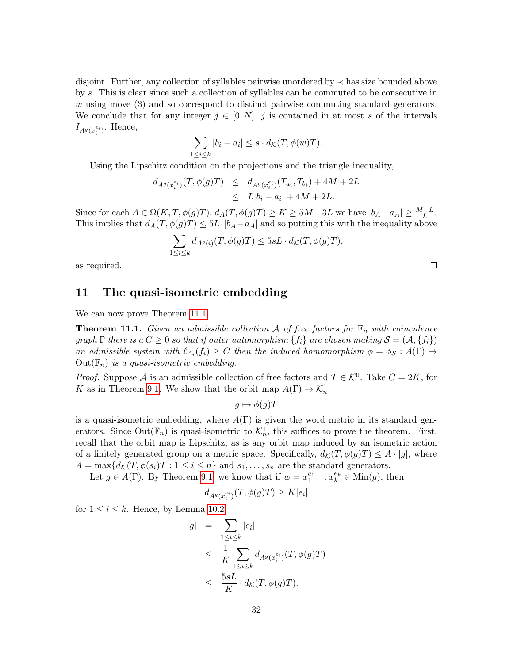disjoint. Further, any collection of syllables pairwise unordered by ≺ has size bounded above by s. This is clear since such a collection of syllables can be commuted to be consecutive in w using move (3) and so correspond to distinct pairwise commuting standard generators. We conclude that for any integer  $j \in [0, N]$ , j is contained in at most s of the intervals  $I_{A^g(x_i^{e_i})}$ . Hence,

$$
\sum_{1 \le i \le k} |b_i - a_i| \le s \cdot d_{\mathcal{K}}(T, \phi(w)T).
$$

Using the Lipschitz condition on the projections and the triangle inequality,

$$
d_{A^g(x_i^{e_i})}(T, \phi(g)T) \leq d_{A^g(x_i^{e_i})}(T_{a_i}, T_{b_i}) + 4M + 2L
$$
  

$$
\leq L|b_i - a_i| + 4M + 2L.
$$

Since for each  $A \in \Omega(K, T, \phi(g)T), d_A(T, \phi(g)T) \ge K \ge 5M + 3L$  we have  $|b_A - a_A| \ge \frac{M + L}{L}$ . This implies that  $d_A(T, \phi(g)T) \leq 5L \cdot |b_A - a_A|$  and so putting this with the inequality above

$$
\sum_{1 \le i \le k} d_{A^g(i)}(T, \phi(g)T) \le 5sL \cdot d_{\mathcal{K}}(T, \phi(g)T),
$$

 $\Box$ 

as required.

## 11 The quasi-isometric embedding

We can now prove Theorem [11.1.](#page-31-0)

<span id="page-31-0"></span>**Theorem 11.1.** Given an admissible collection A of free factors for  $\mathbb{F}_n$  with coincidence graph  $\Gamma$  there is a  $C \geq 0$  so that if outer automorphism  $\{f_i\}$  are chosen making  $S = (A, \{f_i\})$ an admissible system with  $\ell_{A_i}(f_i) \geq C$  then the induced homomorphism  $\phi = \phi_{\mathcal{S}} : A(\Gamma) \to$  $Out(\mathbb{F}_n)$  is a quasi-isometric embedding.

*Proof.* Suppose A is an admissible collection of free factors and  $T \in \mathcal{K}^0$ . Take  $C = 2K$ , for K as in Theorem [9.1.](#page-27-0) We show that the orbit map  $A(\Gamma) \to \mathcal{K}_n^1$ 

$$
g \mapsto \phi(g)T
$$

is a quasi-isometric embedding, where  $A(\Gamma)$  is given the word metric in its standard generators. Since Out( $\mathbb{F}_n$ ) is quasi-isometric to  $\mathcal{K}_n^1$ , this suffices to prove the theorem. First, recall that the orbit map is Lipschitz, as is any orbit map induced by an isometric action of a finitely generated group on a metric space. Specifically,  $d_{\mathcal{K}}(T, \phi(g)T) \leq A \cdot |g|$ , where  $A = \max\{d_{\mathcal{K}}(T, \phi(s_i)T : 1 \leq i \leq n\} \text{ and } s_1, \ldots, s_n \text{ are the standard generators.}$ 

Let  $g \in A(\Gamma)$ . By Theorem [9.1,](#page-27-0) we know that if  $w = x_1^{e_1} \dots x_k^{e_k} \in \text{Min}(g)$ , then

$$
d_{A^g(x_i^{e_i})}(T, \phi(g)T) \ge K|e_i|
$$

for  $1 \leq i \leq k$ . Hence, by Lemma [10.2](#page-30-0)

$$
|g| = \sum_{1 \leq i \leq k} |e_i|
$$
  
\n
$$
\leq \frac{1}{K} \sum_{1 \leq i \leq k} d_{A^g(x_i^{e_i})}(T, \phi(g)T)
$$
  
\n
$$
\leq \frac{5sL}{K} \cdot d_{\mathcal{K}}(T, \phi(g)T).
$$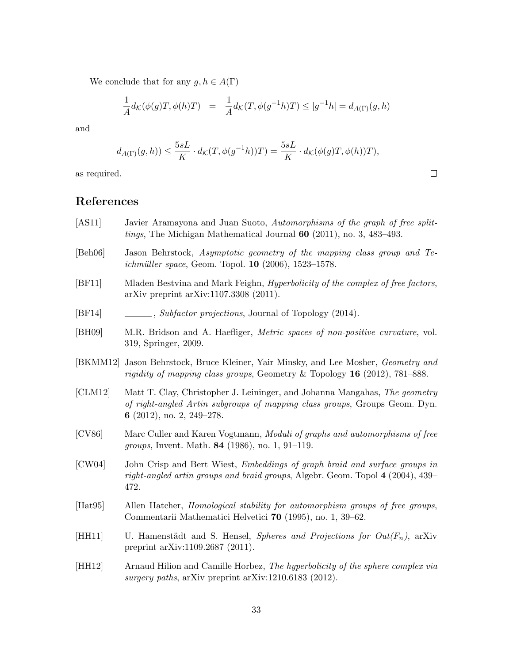We conclude that for any  $g, h \in A(\Gamma)$ 

$$
\frac{1}{A}d_{\mathcal{K}}(\phi(g)T, \phi(h)T) = \frac{1}{A}d_{\mathcal{K}}(T, \phi(g^{-1}h)T) \le |g^{-1}h| = d_{A(\Gamma)}(g, h)
$$

and

$$
d_{A(\Gamma)}(g,h)) \le \frac{5sL}{K} \cdot d_{\mathcal{K}}(T,\phi(g^{-1}h))T) = \frac{5sL}{K} \cdot d_{\mathcal{K}}(\phi(g)T,\phi(h))T),
$$

as required.

# References

- <span id="page-32-8"></span>[AS11] Javier Aramayona and Juan Suoto, Automorphisms of the graph of free splittings, The Michigan Mathematical Journal 60 (2011), no. 3, 483–493.
- <span id="page-32-10"></span>[Beh06] Jason Behrstock, Asymptotic geometry of the mapping class group and Te*ichmüller space*, Geom. Topol.  $10$  (2006), 1523–1578.
- <span id="page-32-4"></span>[BF11] Mladen Bestvina and Mark Feighn, Hyperbolicity of the complex of free factors, arXiv preprint arXiv:1107.3308 (2011).
- <span id="page-32-1"></span>[BF14] , Subfactor projections, Journal of Topology (2014).
- <span id="page-32-3"></span>[BH09] M.R. Bridson and A. Haefliger, Metric spaces of non-positive curvature, vol. 319, Springer, 2009.
- <span id="page-32-11"></span>[BKMM12] Jason Behrstock, Bruce Kleiner, Yair Minsky, and Lee Mosher, Geometry and rigidity of mapping class groups, Geometry & Topology  $16$  (2012), 781–888.
- <span id="page-32-0"></span>[CLM12] Matt T. Clay, Christopher J. Leininger, and Johanna Mangahas, The geometry of right-angled Artin subgroups of mapping class groups, Groups Geom. Dyn. 6 (2012), no. 2, 249–278.
- <span id="page-32-6"></span>[CV86] Marc Culler and Karen Vogtmann, Moduli of graphs and automorphisms of free groups, Invent. Math. 84 (1986), no. 1, 91–119.
- <span id="page-32-9"></span>[CW04] John Crisp and Bert Wiest, Embeddings of graph braid and surface groups in right-angled artin groups and braid groups, Algebr. Geom. Topol 4 (2004), 439– 472.
- <span id="page-32-7"></span>[Hat95] Allen Hatcher, Homological stability for automorphism groups of free groups, Commentarii Mathematici Helvetici 70 (1995), no. 1, 39–62.
- <span id="page-32-2"></span>[HH11] U. Hamenstädt and S. Hensel, *Spheres and Projections for Out*( $F_n$ ), arXiv preprint arXiv:1109.2687 (2011).
- <span id="page-32-5"></span>[HH12] Arnaud Hilion and Camille Horbez, The hyperbolicity of the sphere complex via surgery paths, arXiv preprint arXiv:1210.6183 (2012).

 $\Box$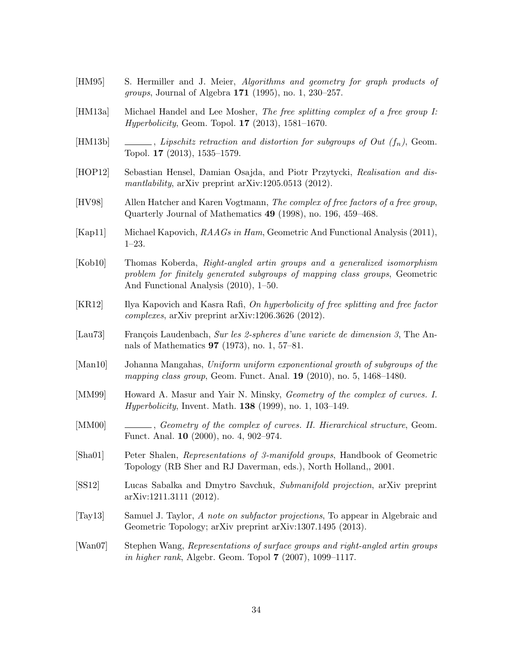<span id="page-33-15"></span><span id="page-33-14"></span><span id="page-33-13"></span><span id="page-33-12"></span><span id="page-33-11"></span><span id="page-33-10"></span><span id="page-33-9"></span><span id="page-33-8"></span><span id="page-33-7"></span><span id="page-33-6"></span><span id="page-33-5"></span><span id="page-33-4"></span><span id="page-33-3"></span><span id="page-33-2"></span><span id="page-33-1"></span><span id="page-33-0"></span>[HM95] S. Hermiller and J. Meier, Algorithms and geometry for graph products of groups, Journal of Algebra 171 (1995), no. 1, 230–257. [HM13a] Michael Handel and Lee Mosher, The free splitting complex of a free group I: Hyperbolicity, Geom. Topol. 17 (2013), 1581–1670. [HM13b] , Lipschitz retraction and distortion for subgroups of Out  $(f_n)$ , Geom. Topol. 17 (2013), 1535–1579. [HOP12] Sebastian Hensel, Damian Osajda, and Piotr Przytycki, Realisation and dismantlability, arXiv preprint arXiv:1205.0513 (2012). [HV98] Allen Hatcher and Karen Vogtmann, The complex of free factors of a free group, Quarterly Journal of Mathematics 49 (1998), no. 196, 459–468. [Kap11] Michael Kapovich, RAAGs in Ham, Geometric And Functional Analysis (2011), 1–23. [Kob10] Thomas Koberda, Right-angled artin groups and a generalized isomorphism problem for finitely generated subgroups of mapping class groups, Geometric And Functional Analysis (2010), 1–50. [KR12] Ilya Kapovich and Kasra Rafi, On hyperbolicity of free splitting and free factor complexes, arXiv preprint arXiv:1206.3626 (2012). [Lau73] François Laudenbach, Sur les 2-spheres d'une variete de dimension 3, The Annals of Mathematics 97 (1973), no. 1, 57–81. [Man10] Johanna Mangahas, Uniform uniform exponentional growth of subgroups of the mapping class group, Geom. Funct. Anal. **19** (2010), no. 5, 1468–1480. [MM99] Howard A. Masur and Yair N. Minsky, Geometry of the complex of curves. I. *Hyperbolicity*, Invent. Math. **138** (1999), no. 1, 103-149. [MM00] , Geometry of the complex of curves. II. Hierarchical structure, Geom. Funct. Anal. 10 (2000), no. 4, 902–974. [Sha01] Peter Shalen, Representations of 3-manifold groups, Handbook of Geometric Topology (RB Sher and RJ Daverman, eds.), North Holland,, 2001. [SS12] Lucas Sabalka and Dmytro Savchuk, Submanifold projection, arXiv preprint arXiv:1211.3111 (2012). [Tay13] Samuel J. Taylor, A note on subfactor projections, To appear in Algebraic and Geometric Topology; arXiv preprint arXiv:1307.1495 (2013). [Wan07] Stephen Wang, Representations of surface groups and right-angled artin groups in higher rank, Algebr. Geom. Topol 7 (2007), 1099–1117.